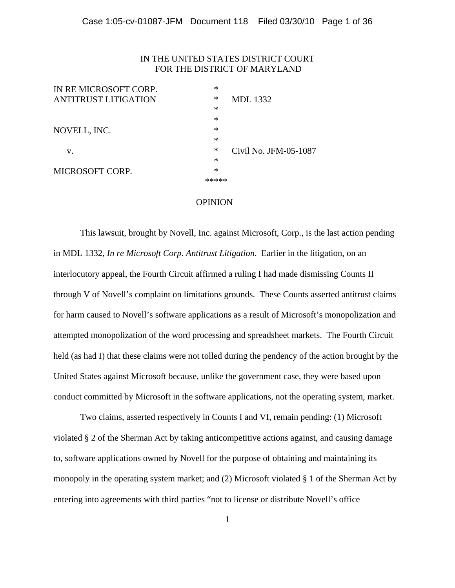## IN THE UNITED STATES DISTRICT COURT FOR THE DISTRICT OF MARYLAND

| IN RE MICROSOFT CORP.       | $\ast$ |                       |
|-----------------------------|--------|-----------------------|
| <b>ANTITRUST LITIGATION</b> | ∗      | <b>MDL</b> 1332       |
|                             | $\ast$ |                       |
|                             | ∗      |                       |
| NOVELL, INC.                | ∗      |                       |
|                             | ∗      |                       |
| v.                          | ∗      | Civil No. JFM-05-1087 |
|                             | $\ast$ |                       |
| MICROSOFT CORP.             | $\ast$ |                       |
|                             |        |                       |
|                             |        |                       |

#### OPINION

 This lawsuit, brought by Novell, Inc. against Microsoft, Corp., is the last action pending in MDL 1332, *In re Microsoft Corp. Antitrust Litigation*. Earlier in the litigation, on an interlocutory appeal, the Fourth Circuit affirmed a ruling I had made dismissing Counts II through V of Novell's complaint on limitations grounds. These Counts asserted antitrust claims for harm caused to Novell's software applications as a result of Microsoft's monopolization and attempted monopolization of the word processing and spreadsheet markets. The Fourth Circuit held (as had I) that these claims were not tolled during the pendency of the action brought by the United States against Microsoft because, unlike the government case, they were based upon conduct committed by Microsoft in the software applications, not the operating system, market.

Two claims, asserted respectively in Counts I and VI, remain pending: (1) Microsoft violated § 2 of the Sherman Act by taking anticompetitive actions against, and causing damage to, software applications owned by Novell for the purpose of obtaining and maintaining its monopoly in the operating system market; and (2) Microsoft violated § 1 of the Sherman Act by entering into agreements with third parties "not to license or distribute Novell's office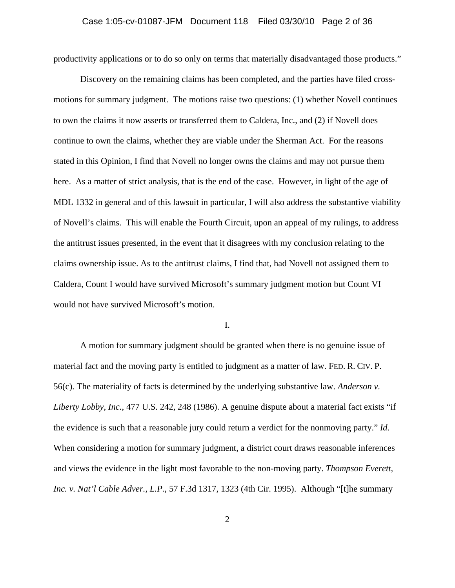productivity applications or to do so only on terms that materially disadvantaged those products."

Discovery on the remaining claims has been completed, and the parties have filed crossmotions for summary judgment. The motions raise two questions: (1) whether Novell continues to own the claims it now asserts or transferred them to Caldera, Inc., and (2) if Novell does continue to own the claims, whether they are viable under the Sherman Act. For the reasons stated in this Opinion, I find that Novell no longer owns the claims and may not pursue them here. As a matter of strict analysis, that is the end of the case. However, in light of the age of MDL 1332 in general and of this lawsuit in particular, I will also address the substantive viability of Novell's claims. This will enable the Fourth Circuit, upon an appeal of my rulings, to address the antitrust issues presented, in the event that it disagrees with my conclusion relating to the claims ownership issue. As to the antitrust claims, I find that, had Novell not assigned them to Caldera, Count I would have survived Microsoft's summary judgment motion but Count VI would not have survived Microsoft's motion.

#### I.

A motion for summary judgment should be granted when there is no genuine issue of material fact and the moving party is entitled to judgment as a matter of law. FED. R. CIV. P. 56(c). The materiality of facts is determined by the underlying substantive law. *Anderson v. Liberty Lobby, Inc.*, 477 U.S. 242, 248 (1986). A genuine dispute about a material fact exists "if the evidence is such that a reasonable jury could return a verdict for the nonmoving party." *Id.*  When considering a motion for summary judgment, a district court draws reasonable inferences and views the evidence in the light most favorable to the non-moving party. *Thompson Everett, Inc. v. Nat'l Cable Adver., L.P.*, 57 F.3d 1317, 1323 (4th Cir. 1995). Although "[t]he summary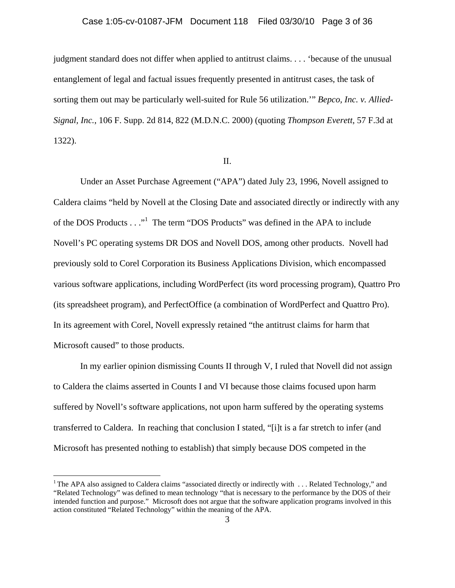# Case 1:05-cv-01087-JFM Document 118 Filed 03/30/10 Page 3 of 36

judgment standard does not differ when applied to antitrust claims. . . . 'because of the unusual entanglement of legal and factual issues frequently presented in antitrust cases, the task of sorting them out may be particularly well-suited for Rule 56 utilization.'" *Bepco, Inc. v. Allied-Signal, Inc.*, 106 F. Supp. 2d 814, 822 (M.D.N.C. 2000) (quoting *Thompson Everett*, 57 F.3d at 1322).

#### II.

 Under an Asset Purchase Agreement ("APA") dated July 23, 1996, Novell assigned to Caldera claims "held by Novell at the Closing Date and associated directly or indirectly with any of the DOS Products . . ."<sup>1</sup> The term "DOS Products" was defined in the APA to include Novell's PC operating systems DR DOS and Novell DOS, among other products. Novell had previously sold to Corel Corporation its Business Applications Division, which encompassed various software applications, including WordPerfect (its word processing program), Quattro Pro (its spreadsheet program), and PerfectOffice (a combination of WordPerfect and Quattro Pro). In its agreement with Corel, Novell expressly retained "the antitrust claims for harm that Microsoft caused" to those products.

 In my earlier opinion dismissing Counts II through V, I ruled that Novell did not assign to Caldera the claims asserted in Counts I and VI because those claims focused upon harm suffered by Novell's software applications, not upon harm suffered by the operating systems transferred to Caldera. In reaching that conclusion I stated, "[i]t is a far stretch to infer (and Microsoft has presented nothing to establish) that simply because DOS competed in the

1

<sup>&</sup>lt;sup>1</sup> The APA also assigned to Caldera claims "associated directly or indirectly with  $\dots$  Related Technology," and "Related Technology" was defined to mean technology "that is necessary to the performance by the DOS of their intended function and purpose." Microsoft does not argue that the software application programs involved in this action constituted "Related Technology" within the meaning of the APA.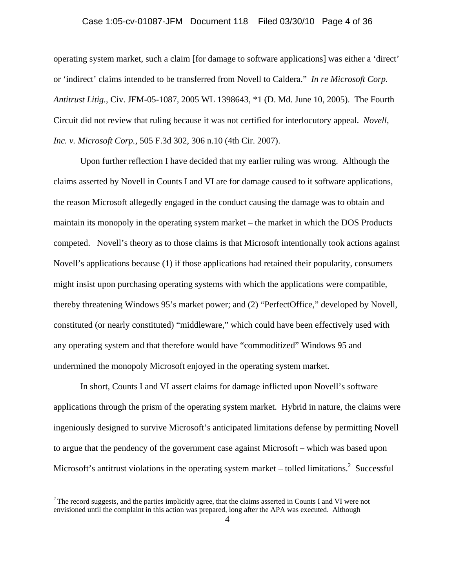# Case 1:05-cv-01087-JFM Document 118 Filed 03/30/10 Page 4 of 36

operating system market, such a claim [for damage to software applications] was either a 'direct' or 'indirect' claims intended to be transferred from Novell to Caldera." *In re Microsoft Corp. Antitrust Litig.*, Civ. JFM-05-1087, 2005 WL 1398643, \*1 (D. Md. June 10, 2005). The Fourth Circuit did not review that ruling because it was not certified for interlocutory appeal. *Novell, Inc. v. Microsoft Corp.*, 505 F.3d 302, 306 n.10 (4th Cir. 2007).

 Upon further reflection I have decided that my earlier ruling was wrong. Although the claims asserted by Novell in Counts I and VI are for damage caused to it software applications, the reason Microsoft allegedly engaged in the conduct causing the damage was to obtain and maintain its monopoly in the operating system market – the market in which the DOS Products competed. Novell's theory as to those claims is that Microsoft intentionally took actions against Novell's applications because (1) if those applications had retained their popularity, consumers might insist upon purchasing operating systems with which the applications were compatible, thereby threatening Windows 95's market power; and (2) "PerfectOffice," developed by Novell, constituted (or nearly constituted) "middleware," which could have been effectively used with any operating system and that therefore would have "commoditized" Windows 95 and undermined the monopoly Microsoft enjoyed in the operating system market.

In short, Counts I and VI assert claims for damage inflicted upon Novell's software applications through the prism of the operating system market. Hybrid in nature, the claims were ingeniously designed to survive Microsoft's anticipated limitations defense by permitting Novell to argue that the pendency of the government case against Microsoft – which was based upon Microsoft's antitrust violations in the operating system market – tolled limitations.<sup>2</sup> Successful

<u>.</u>

<sup>&</sup>lt;sup>2</sup> The record suggests, and the parties implicitly agree, that the claims asserted in Counts I and VI were not envisioned until the complaint in this action was prepared, long after the APA was executed. Although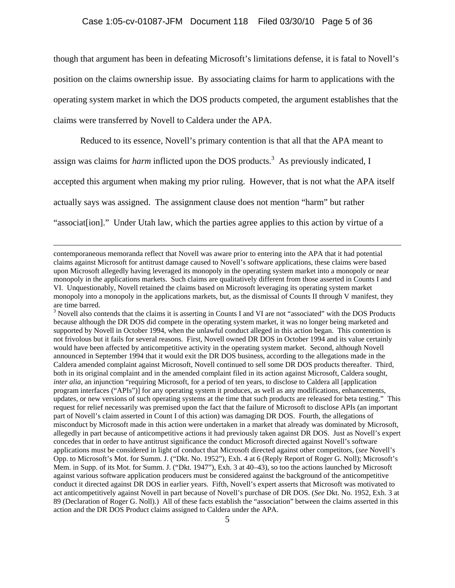though that argument has been in defeating Microsoft's limitations defense, it is fatal to Novell's position on the claims ownership issue. By associating claims for harm to applications with the operating system market in which the DOS products competed, the argument establishes that the claims were transferred by Novell to Caldera under the APA.

Reduced to its essence, Novell's primary contention is that all that the APA meant to

assign was claims for *harm* inflicted upon the DOS products.<sup>3</sup> As previously indicated, I

accepted this argument when making my prior ruling. However, that is not what the APA itself

actually says was assigned. The assignment clause does not mention "harm" but rather

"associat [ion]." Under Utah law, which the parties agree applies to this action by virtue of a

contemporaneous memoranda reflect that Novell was aware prior to entering into the APA that it had potential claims against Microsoft for antitrust damage caused to Novell's software applications, these claims were based upon Microsoft allegedly having leveraged its monopoly in the operating system market into a monopoly or near monopoly in the applications markets. Such claims are qualitatively different from those asserted in Counts I and VI. Unquestionably, Novell retained the claims based on Microsoft leveraging its operating system market monopoly into a monopoly in the applications markets, but, as the dismissal of Counts II through V manifest, they are time barred.

<sup>&</sup>lt;sup>3</sup> Novell also contends that the claims it is asserting in Counts I and VI are not "associated" with the DOS Products because although the DR DOS did compete in the operating system market, it was no longer being marketed and supported by Novell in October 1994, when the unlawful conduct alleged in this action began. This contention is not frivolous but it fails for several reasons. First, Novell owned DR DOS in October 1994 and its value certainly would have been affected by anticompetitive activity in the operating system market. Second, although Novell announced in September 1994 that it would exit the DR DOS business, according to the allegations made in the Caldera amended complaint against Microsoft, Novell continued to sell some DR DOS products thereafter. Third, both in its original complaint and in the amended complaint filed in its action against Microsoft, Caldera sought, *inter alia*, an injunction "requiring Microsoft, for a period of ten years, to disclose to Caldera all [application program interfaces ("APIs")] for any operating system it produces, as well as any modifications, enhancements, updates, or new versions of such operating systems at the time that such products are released for beta testing." This request for relief necessarily was premised upon the fact that the failure of Microsoft to disclose APIs (an important part of Novell's claim asserted in Count I of this action) was damaging DR DOS. Fourth, the allegations of misconduct by Microsoft made in this action were undertaken in a market that already was dominated by Microsoft, allegedly in part because of anticompetitive actions it had previously taken against DR DOS. Just as Novell's expert concedes that in order to have antitrust significance the conduct Microsoft directed against Novell's software applications must be considered in light of conduct that Microsoft directed against other competitors, (*see* Novell's Opp. to Microsoft's Mot. for Summ. J. ("Dkt. No. 1952"), Exh. 4 at 6 (Reply Report of Roger G. Noll); Microsoft's Mem. in Supp. of its Mot. for Summ. J. ("Dkt. 1947"), Exh. 3 at 40–43), so too the actions launched by Microsoft against various software application producers must be considered against the background of the anticompetitive conduct it directed against DR DOS in earlier years. Fifth, Novell's expert asserts that Microsoft was motivated to act anticompetitively against Novell in part because of Novell's purchase of DR DOS. (*See* Dkt. No. 1952, Exh. 3 at 89 (Declaration of Roger G. Noll).) All of these facts establish the "association" between the claims asserted in this action and the DR DOS Product claims assigned to Caldera under the APA.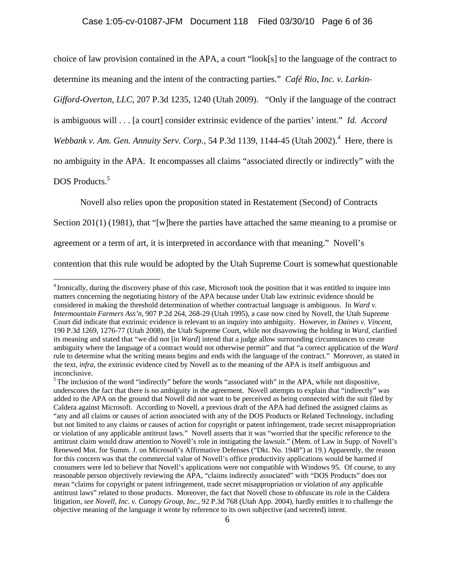choice of law provision contained in the APA, a court "look[s] to the language of the contract to determine its meaning and the intent of the contracting parties." *Café Rio, Inc. v. Larkin-*

*Gifford-Overton, LLC*, 207 P.3d 1235, 1240 (Utah 2009). "Only if the language of the contract

is ambiguous will . . . [a court] consider extrinsic evidence of the parties' intent." *Id*. *Accord* 

*Webbank v. Am. Gen. Annuity Serv. Corp.*, 54 P.3d 1139, 1144-45 (Utah 2002).<sup>4</sup> Here, there is

no ambiguity in the APA. It encompasses all claims "associated directly or indirectly" with the

DOS Products.<sup>5</sup>

1

Novell also relies upon the proposition stated in Restatement (Second) of Contracts

Section 201(1) (1981), that "[w]here the parties have attached the same meaning to a promise or

agreement or a term of art, it is interpreted in accordance with that meaning." Novell's

contention that this rule would be adopted by the Utah Supreme Court is somewhat questionable

<sup>4</sup> Ironically, during the discovery phase of this case, Microsoft took the position that it was entitled to inquire into matters concerning the negotiating history of the APA because under Utah law extrinsic evidence should be considered in making the threshold determination of whether contractual language is ambiguous. In *Ward v. Intermountain Farmers Ass'n*, 907 P.2d 264, 268-29 (Utah 1995), a case now cited by Novell, the Utah Supreme Court did indicate that extrinsic evidence is relevant to an inquiry into ambiguity. However, in *Daines v. Vincent*, 190 P.3d 1269, 1276-77 (Utah 2008), the Utah Supreme Court, while not disavowing the holding in *Ward*, clarified its meaning and stated that "we did not [in *Ward*] intend that a judge allow surrounding circumstances to create ambiguity where the language of a contract would not otherwise permit" and that "a correct application of the *Ward* rule to determine what the writing means begins and ends with the language of the contract." Moreover, as stated in the text, *infra*, the extrinsic evidence cited by Novell as to the meaning of the APA is itself ambiguous and inconclusive.

<sup>&</sup>lt;sup>5</sup> The inclusion of the word "indirectly" before the words "associated with" in the APA, while not dispositive, underscores the fact that there is no ambiguity in the agreement. Novell attempts to explain that "indirectly" was added to the APA on the ground that Novell did not want to be perceived as being connected with the suit filed by Caldera against Microsoft. According to Novell, a previous draft of the APA had defined the assigned claims as "any and all claims or causes of action associated with any of the DOS Products or Related Technology, including but not limited to any claims or causes of action for copyright or patent infringement, trade secret misappropriation or violation of any applicable antitrust laws." Novell asserts that it was "worried that the specific reference to the antitrust claim would draw attention to Novell's role in instigating the lawsuit." (Mem. of Law in Supp. of Novell's Renewed Mot. for Summ. J. on Microsoft's Affirmative Defenses ("Dkt. No. 1948") at 19.) Apparently, the reason for this concern was that the commercial value of Novell's office productivity applications would be harmed if consumers were led to believe that Novell's applications were not compatible with Windows 95. Of course, to any reasonable person objectively reviewing the APA, "claims indirectly associated" with "DOS Products" does not mean "claims for copyright or patent infringement, trade secret misappropriation or violation of any applicable antitrust laws" related to those products. Moreover, the fact that Novell chose to obfuscate its role in the Caldera litigation, *see Novell, Inc. v. Canopy Group, Inc.*, 92 P.3d 768 (Utah App. 2004), hardly entitles it to challenge the objective meaning of the language it wrote by reference to its own subjective (and secreted) intent.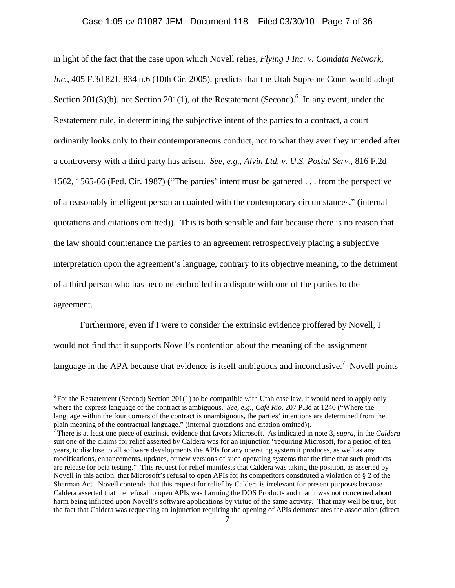in light of the fact that the case upon which Novell relies, *Flying J Inc. v. Comdata Network, Inc.*, 405 F.3d 821, 834 n.6 (10th Cir. 2005), predicts that the Utah Supreme Court would adopt Section 201(3)(b), not Section 201(1), of the Restatement (Second).<sup>6</sup> In any event, under the Restatement rule, in determining the subjective intent of the parties to a contract, a court ordinarily looks only to their contemporaneous conduct, not to what they aver they intended after a controversy with a third party has arisen. *See, e.g.*, *Alvin Ltd. v. U.S. Postal Serv.*, 816 F.2d 1562, 1565-66 (Fed. Cir. 1987) ("The parties' intent must be gathered . . . from the perspective of a reasonably intelligent person acquainted with the contemporary circumstances." (internal quotations and citations omitted)). This is both sensible and fair because there is no reason that the law should countenance the parties to an agreement retrospectively placing a subjective interpretation upon the agreement's language, contrary to its objective meaning, to the detriment of a third person who has become embroiled in a dispute with one of the parties to the agreement.

 Furthermore, even if I were to consider the extrinsic evidence proffered by Novell, I would not find that it supports Novell's contention about the meaning of the assignment language in the APA because that evidence is itself ambiguous and inconclusive.<sup>7</sup> Novell points

<u>.</u>

<sup>&</sup>lt;sup>6</sup> For the Restatement (Second) Section 201(1) to be compatible with Utah case law, it would need to apply only where the express language of the contract is ambiguous. *See, e.g.*, *Café Rio*, 207 P.3d at 1240 ("Where the language within the four corners of the contract is unambiguous, the parties' intentions are determined from the plain meaning of the contractual language." (internal quotations and citation omitted)).

<sup>7</sup> There is at least one piece of extrinsic evidence that favors Microsoft. As indicated in note 3, *supra*, in the *Caldera*  suit one of the claims for relief asserted by Caldera was for an injunction "requiring Microsoft, for a period of ten years, to disclose to all software developments the APIs for any operating system it produces, as well as any modifications, enhancements, updates, or new versions of such operating systems that the time that such products are release for beta testing." This request for relief manifests that Caldera was taking the position, as asserted by Novell in this action, that Microsoft's refusal to open APIs for its competitors constituted a violation of § 2 of the Sherman Act. Novell contends that this request for relief by Caldera is irrelevant for present purposes because Caldera asserted that the refusal to open APIs was harming the DOS Products and that it was not concerned about harm being inflicted upon Novell's software applications by virtue of the same activity. That may well be true, but the fact that Caldera was requesting an injunction requiring the opening of APIs demonstrates the association (direct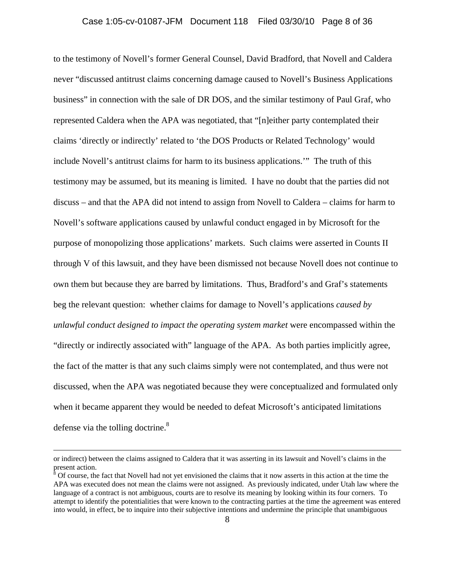to the testimony of Novell's former General Counsel, David Bradford, that Novell and Caldera never "discussed antitrust claims concerning damage caused to Novell's Business Applications business" in connection with the sale of DR DOS, and the similar testimony of Paul Graf, who represented Caldera when the APA was negotiated, that "[n]either party contemplated their claims 'directly or indirectly' related to 'the DOS Products or Related Technology' would include Novell's antitrust claims for harm to its business applications.'" The truth of this testimony may be assumed, but its meaning is limited. I have no doubt that the parties did not discuss – and that the APA did not intend to assign from Novell to Caldera – claims for harm to Novell's software applications caused by unlawful conduct engaged in by Microsoft for the purpose of monopolizing those applications' markets. Such claims were asserted in Counts II through V of this lawsuit, and they have been dismissed not because Novell does not continue to own them but because they are barred by limitations. Thus, Bradford's and Graf's statements beg the relevant question: whether claims for damage to Novell's applications *caused by unlawful conduct designed to impact the operating system market* were encompassed within the "directly or indirectly associated with" language of the APA. As both parties implicitly agree, the fact of the matter is that any such claims simply were not contemplated, and thus were not discussed, when the APA was negotiated because they were conceptualized and formulated only when it became apparent they would be needed to defeat Microsoft's anticipated limitations defense via the tolling doctrine.<sup>8</sup>

or indirect) between the claims assigned to Caldera that it was asserting in its lawsuit and Novell's claims in the present action.

 $\delta$  Of course, the fact that Novell had not yet envisioned the claims that it now asserts in this action at the time the APA was executed does not mean the claims were not assigned. As previously indicated, under Utah law where the language of a contract is not ambiguous, courts are to resolve its meaning by looking within its four corners. To attempt to identify the potentialities that were known to the contracting parties at the time the agreement was entered into would, in effect, be to inquire into their subjective intentions and undermine the principle that unambiguous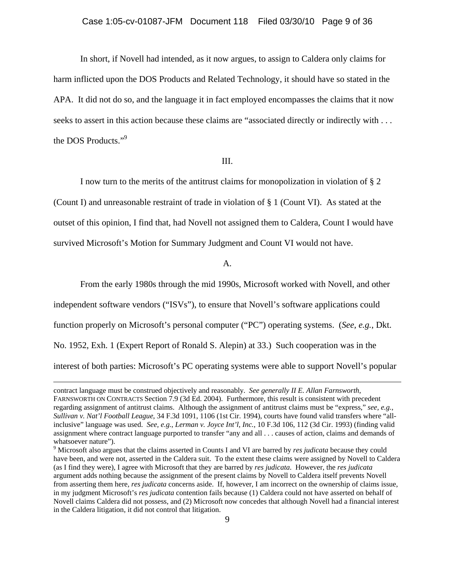In short, if Novell had intended, as it now argues, to assign to Caldera only claims for harm inflicted upon the DOS Products and Related Technology, it should have so stated in the APA. It did not do so, and the language it in fact employed encompasses the claims that it now seeks to assert in this action because these claims are "associated directly or indirectly with . . . the DOS Products."<sup>9</sup>

#### III.

 I now turn to the merits of the antitrust claims for monopolization in violation of § 2 (Count I) and unreasonable restraint of trade in violation of § 1 (Count VI). As stated at the outset of this opinion, I find that, had Novell not assigned them to Caldera, Count I would have survived Microsoft's Motion for Summary Judgment and Count VI would not have.

#### A.

From the early 1980s through the mid 1990s, Microsoft worked with Novell, and other

independent software vendors ("ISVs"), to ensure that Novell's software applications could function properly on Microsoft's personal computer ("PC") operating systems. (*See, e.g.*, Dkt. No. 1952, Exh. 1 (Expert Report of Ronald S. Alepin) at 33.) Such cooperation was in the interest of both parties: Microsoft's PC operating systems were able to support Novell's popular

contract language must be construed objectively and reasonably. *See generally II E. Allan Farnsworth*, FARNSWORTH ON CONTRACTS Section 7.9 (3d Ed. 2004). Furthermore, this result is consistent with precedent regarding assignment of antitrust claims. Although the assignment of antitrust claims must be "express," *see, e.g.*, *Sullivan v. Nat'l Football League*, 34 F.3d 1091, 1106 (1st Cir. 1994), courts have found valid transfers where "allinclusive" language was used. *See, e.g.*, *Lerman v. Joyce Int'l, Inc.*, 10 F.3d 106, 112 (3d Cir. 1993) (finding valid assignment where contract language purported to transfer "any and all . . . causes of action, claims and demands of whatsoever nature").

<sup>9</sup> Microsoft also argues that the claims asserted in Counts I and VI are barred by *res judicata* because they could have been, and were not, asserted in the Caldera suit. To the extent these claims were assigned by Novell to Caldera (as I find they were), I agree with Microsoft that they are barred by *res judicata*. However, the *res judicata* argument adds nothing because the assignment of the present claims by Novell to Caldera itself prevents Novell from asserting them here, *res judicata* concerns aside. If, however, I am incorrect on the ownership of claims issue, in my judgment Microsoft's *res judicata* contention fails because (1) Caldera could not have asserted on behalf of Novell claims Caldera did not possess, and (2) Microsoft now concedes that although Novell had a financial interest in the Caldera litigation, it did not control that litigation.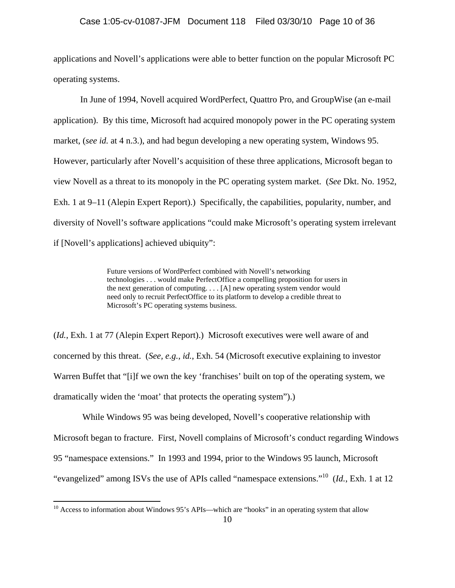applications and Novell's applications were able to better function on the popular Microsoft PC operating systems.

In June of 1994, Novell acquired WordPerfect, Quattro Pro, and GroupWise (an e-mail application). By this time, Microsoft had acquired monopoly power in the PC operating system market, (*see id.* at 4 n.3.), and had begun developing a new operating system, Windows 95. However, particularly after Novell's acquisition of these three applications, Microsoft began to view Novell as a threat to its monopoly in the PC operating system market. (*See* Dkt. No. 1952, Exh. 1 at 9–11 (Alepin Expert Report).) Specifically, the capabilities, popularity, number, and diversity of Novell's software applications "could make Microsoft's operating system irrelevant if [Novell's applications] achieved ubiquity":

> Future versions of WordPerfect combined with Novell's networking technologies . . . would make PerfectOffice a compelling proposition for users in the next generation of computing. . . . [A] new operating system vendor would need only to recruit PerfectOffice to its platform to develop a credible threat to Microsoft's PC operating systems business.

(*Id.*, Exh. 1 at 77 (Alepin Expert Report).) Microsoft executives were well aware of and concerned by this threat. (*See, e.g.*, *id.*, Exh. 54 (Microsoft executive explaining to investor Warren Buffet that "[i]f we own the key 'franchises' built on top of the operating system, we dramatically widen the 'moat' that protects the operating system").)

 While Windows 95 was being developed, Novell's cooperative relationship with Microsoft began to fracture. First, Novell complains of Microsoft's conduct regarding Windows 95 "namespace extensions." In 1993 and 1994, prior to the Windows 95 launch, Microsoft "evangelized" among ISVs the use of APIs called "namespace extensions."10 (*Id.*, Exh. 1 at 12

1

 $10$  Access to information about Windows 95's APIs—which are "hooks" in an operating system that allow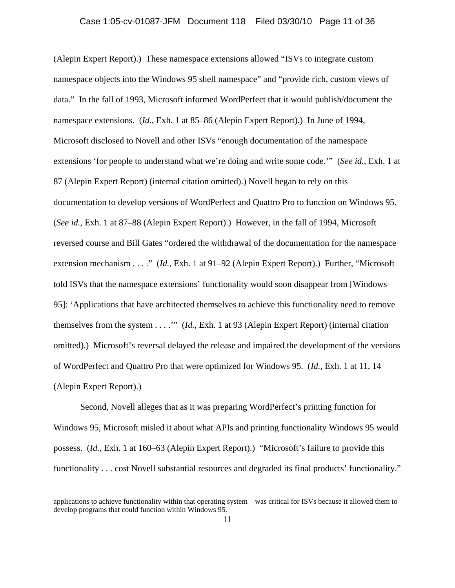(Alepin Expert Report).) These namespace extensions allowed "ISVs to integrate custom namespace objects into the Windows 95 shell namespace" and "provide rich, custom views of data." In the fall of 1993, Microsoft informed WordPerfect that it would publish/document the namespace extensions. (*Id.*, Exh. 1 at 85–86 (Alepin Expert Report).) In June of 1994, Microsoft disclosed to Novell and other ISVs "enough documentation of the namespace extensions 'for people to understand what we're doing and write some code.'" (*See id.*, Exh. 1 at 87 (Alepin Expert Report) (internal citation omitted).) Novell began to rely on this documentation to develop versions of WordPerfect and Quattro Pro to function on Windows 95. (*See id.*, Exh. 1 at 87–88 (Alepin Expert Report).) However, in the fall of 1994, Microsoft reversed course and Bill Gates "ordered the withdrawal of the documentation for the namespace extension mechanism . . . ." (*Id.*, Exh. 1 at 91–92 (Alepin Expert Report).) Further, "Microsoft told ISVs that the namespace extensions' functionality would soon disappear from [Windows 95]: 'Applications that have architected themselves to achieve this functionality need to remove themselves from the system . . . .'" (*Id.*, Exh. 1 at 93 (Alepin Expert Report) (internal citation omitted).) Microsoft's reversal delayed the release and impaired the development of the versions of WordPerfect and Quattro Pro that were optimized for Windows 95. (*Id.*, Exh. 1 at 11, 14 (Alepin Expert Report).)

Second, Novell alleges that as it was preparing WordPerfect's printing function for Windows 95, Microsoft misled it about what APIs and printing functionality Windows 95 would possess. (*Id.*, Exh. 1 at 160–63 (Alepin Expert Report).) "Microsoft's failure to provide this functionality . . . cost Novell substantial resources and degraded its final products' functionality."

applications to achieve functionality within that operating system—was critical for ISVs because it allowed them to develop programs that could function within Windows 95.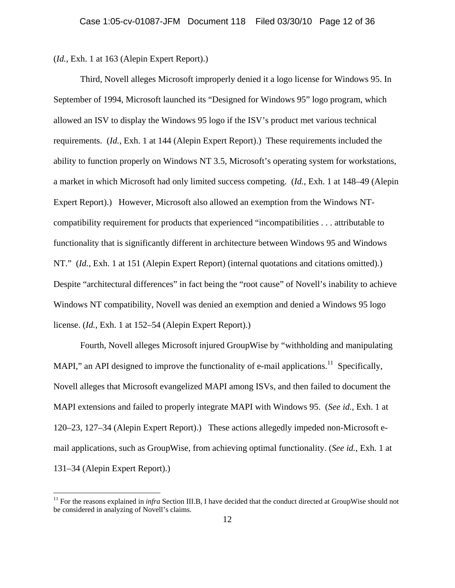(*Id.*, Exh. 1 at 163 (Alepin Expert Report).)

<u>.</u>

Third, Novell alleges Microsoft improperly denied it a logo license for Windows 95. In September of 1994, Microsoft launched its "Designed for Windows 95" logo program, which allowed an ISV to display the Windows 95 logo if the ISV's product met various technical requirements. (*Id.*, Exh. 1 at 144 (Alepin Expert Report).) These requirements included the ability to function properly on Windows NT 3.5, Microsoft's operating system for workstations, a market in which Microsoft had only limited success competing. (*Id.*, Exh. 1 at 148–49 (Alepin Expert Report).) However, Microsoft also allowed an exemption from the Windows NTcompatibility requirement for products that experienced "incompatibilities . . . attributable to functionality that is significantly different in architecture between Windows 95 and Windows NT." (*Id.*, Exh. 1 at 151 (Alepin Expert Report) (internal quotations and citations omitted).) Despite "architectural differences" in fact being the "root cause" of Novell's inability to achieve Windows NT compatibility, Novell was denied an exemption and denied a Windows 95 logo license. (*Id.*, Exh. 1 at 152–54 (Alepin Expert Report).)

Fourth, Novell alleges Microsoft injured GroupWise by "withholding and manipulating MAPI," an API designed to improve the functionality of e-mail applications.<sup>11</sup> Specifically, Novell alleges that Microsoft evangelized MAPI among ISVs, and then failed to document the MAPI extensions and failed to properly integrate MAPI with Windows 95. (*See id.*, Exh. 1 at 120–23, 127–34 (Alepin Expert Report).) These actions allegedly impeded non-Microsoft email applications, such as GroupWise, from achieving optimal functionality. (*See id.*, Exh. 1 at 131–34 (Alepin Expert Report).)

<sup>&</sup>lt;sup>11</sup> For the reasons explained in *infra* Section III.B, I have decided that the conduct directed at GroupWise should not be considered in analyzing of Novell's claims.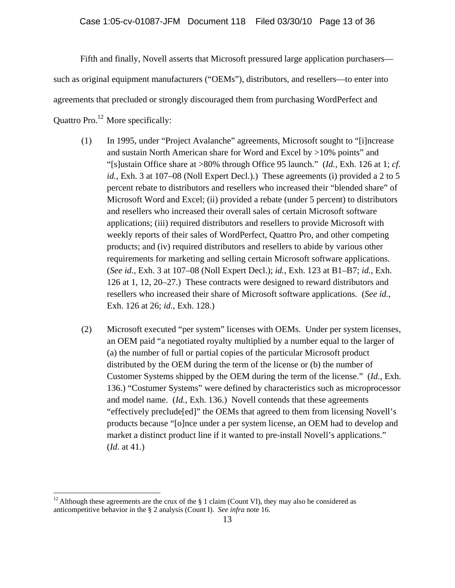Fifth and finally, Novell asserts that Microsoft pressured large application purchasers such as original equipment manufacturers ("OEMs"), distributors, and resellers—to enter into agreements that precluded or strongly discouraged them from purchasing WordPerfect and Quattro Pro.12 More specifically:

- (1) In 1995, under "Project Avalanche" agreements, Microsoft sought to "[i]ncrease and sustain North American share for Word and Excel by >10% points" and "[s]ustain Office share at >80% through Office 95 launch." (*Id.*, Exh. 126 at 1; *cf. id.*, Exh. 3 at 107–08 (Noll Expert Decl.).) These agreements (i) provided a 2 to 5 percent rebate to distributors and resellers who increased their "blended share" of Microsoft Word and Excel; (ii) provided a rebate (under 5 percent) to distributors and resellers who increased their overall sales of certain Microsoft software applications; (iii) required distributors and resellers to provide Microsoft with weekly reports of their sales of WordPerfect, Quattro Pro, and other competing products; and (iv) required distributors and resellers to abide by various other requirements for marketing and selling certain Microsoft software applications. (*See id.*, Exh. 3 at 107–08 (Noll Expert Decl.); *id.*, Exh. 123 at B1–B7; *id.*, Exh. 126 at 1, 12, 20–27.) These contracts were designed to reward distributors and resellers who increased their share of Microsoft software applications. (*See id.*, Exh. 126 at 26; *id.*, Exh. 128.)
- (2) Microsoft executed "per system" licenses with OEMs. Under per system licenses, an OEM paid "a negotiated royalty multiplied by a number equal to the larger of (a) the number of full or partial copies of the particular Microsoft product distributed by the OEM during the term of the license or (b) the number of Customer Systems shipped by the OEM during the term of the license." (*Id.*, Exh. 136.) "Costumer Systems" were defined by characteristics such as microprocessor and model name. (*Id.*, Exh. 136.) Novell contends that these agreements "effectively preclude[ed]" the OEMs that agreed to them from licensing Novell's products because "[o]nce under a per system license, an OEM had to develop and market a distinct product line if it wanted to pre-install Novell's applications." (*Id.* at 41.)

<u>.</u>

<sup>&</sup>lt;sup>12</sup> Although these agreements are the crux of the  $\S$  1 claim (Count VI), they may also be considered as anticompetitive behavior in the § 2 analysis (Count I). *See infra* note 16.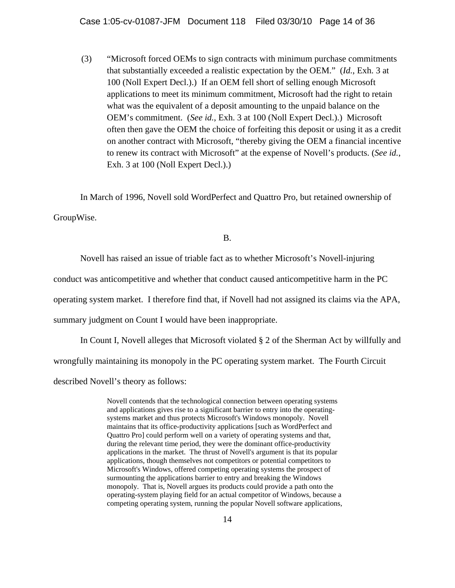(3) "Microsoft forced OEMs to sign contracts with minimum purchase commitments that substantially exceeded a realistic expectation by the OEM." (*Id.*, Exh. 3 at 100 (Noll Expert Decl.).) If an OEM fell short of selling enough Microsoft applications to meet its minimum commitment, Microsoft had the right to retain what was the equivalent of a deposit amounting to the unpaid balance on the OEM's commitment. (*See id.*, Exh. 3 at 100 (Noll Expert Decl.).) Microsoft often then gave the OEM the choice of forfeiting this deposit or using it as a credit on another contract with Microsoft, "thereby giving the OEM a financial incentive to renew its contract with Microsoft" at the expense of Novell's products. (*See id.*, Exh. 3 at 100 (Noll Expert Decl.).)

In March of 1996, Novell sold WordPerfect and Quattro Pro, but retained ownership of GroupWise.

B.

Novell has raised an issue of triable fact as to whether Microsoft's Novell-injuring

conduct was anticompetitive and whether that conduct caused anticompetitive harm in the PC

operating system market. I therefore find that, if Novell had not assigned its claims via the APA,

summary judgment on Count I would have been inappropriate.

In Count I, Novell alleges that Microsoft violated § 2 of the Sherman Act by willfully and wrongfully maintaining its monopoly in the PC operating system market. The Fourth Circuit described Novell's theory as follows:

> Novell contends that the technological connection between operating systems and applications gives rise to a significant barrier to entry into the operatingsystems market and thus protects Microsoft's Windows monopoly. Novell maintains that its office-productivity applications [such as WordPerfect and Quattro Pro] could perform well on a variety of operating systems and that, during the relevant time period, they were the dominant office-productivity applications in the market. The thrust of Novell's argument is that its popular applications, though themselves not competitors or potential competitors to Microsoft's Windows, offered competing operating systems the prospect of surmounting the applications barrier to entry and breaking the Windows monopoly. That is, Novell argues its products could provide a path onto the operating-system playing field for an actual competitor of Windows, because a competing operating system, running the popular Novell software applications,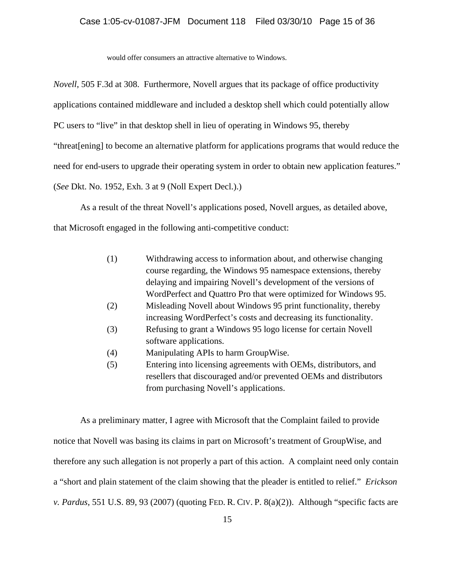would offer consumers an attractive alternative to Windows.

*Novell*, 505 F.3d at 308. Furthermore, Novell argues that its package of office productivity applications contained middleware and included a desktop shell which could potentially allow PC users to "live" in that desktop shell in lieu of operating in Windows 95, thereby "threat[ening] to become an alternative platform for applications programs that would reduce the need for end-users to upgrade their operating system in order to obtain new application features." (*See* Dkt. No. 1952, Exh. 3 at 9 (Noll Expert Decl.).)

As a result of the threat Novell's applications posed, Novell argues, as detailed above, that Microsoft engaged in the following anti-competitive conduct:

- (1) Withdrawing access to information about, and otherwise changing course regarding, the Windows 95 namespace extensions, thereby delaying and impairing Novell's development of the versions of WordPerfect and Quattro Pro that were optimized for Windows 95.
- (2) Misleading Novell about Windows 95 print functionality, thereby increasing WordPerfect's costs and decreasing its functionality.
- (3) Refusing to grant a Windows 95 logo license for certain Novell software applications.
- (4) Manipulating APIs to harm GroupWise.
- (5) Entering into licensing agreements with OEMs, distributors, and resellers that discouraged and/or prevented OEMs and distributors from purchasing Novell's applications.

As a preliminary matter, I agree with Microsoft that the Complaint failed to provide notice that Novell was basing its claims in part on Microsoft's treatment of GroupWise, and therefore any such allegation is not properly a part of this action. A complaint need only contain a "short and plain statement of the claim showing that the pleader is entitled to relief." *Erickson v. Pardus*, 551 U.S. 89, 93 (2007) (quoting FED. R. CIV. P. 8(a)(2)). Although "specific facts are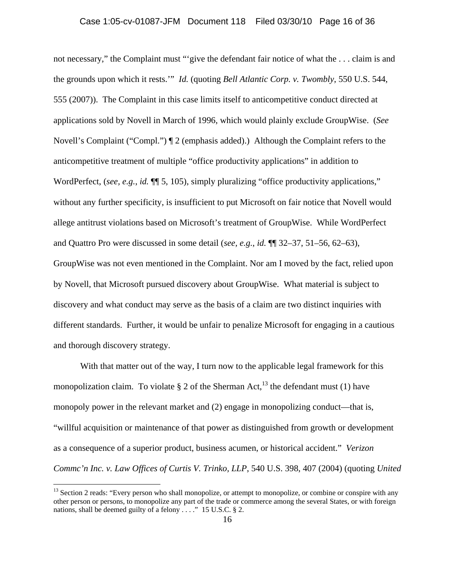not necessary," the Complaint must "'give the defendant fair notice of what the . . . claim is and the grounds upon which it rests.'" *Id.* (quoting *Bell Atlantic Corp. v. Twombly*, 550 U.S. 544, 555 (2007)). The Complaint in this case limits itself to anticompetitive conduct directed at applications sold by Novell in March of 1996, which would plainly exclude GroupWise. (*See* Novell's Complaint ("Compl.") ¶ 2 (emphasis added).) Although the Complaint refers to the anticompetitive treatment of multiple "office productivity applications" in addition to WordPerfect, (*see, e.g., id.*  $\P$  5, 105), simply pluralizing "office productivity applications," without any further specificity, is insufficient to put Microsoft on fair notice that Novell would allege antitrust violations based on Microsoft's treatment of GroupWise. While WordPerfect and Quattro Pro were discussed in some detail (*see, e.g.*, *id.* ¶¶ 32–37, 51–56, 62–63), GroupWise was not even mentioned in the Complaint. Nor am I moved by the fact, relied upon by Novell, that Microsoft pursued discovery about GroupWise. What material is subject to discovery and what conduct may serve as the basis of a claim are two distinct inquiries with different standards. Further, it would be unfair to penalize Microsoft for engaging in a cautious and thorough discovery strategy.

With that matter out of the way, I turn now to the applicable legal framework for this monopolization claim. To violate § 2 of the Sherman Act,  $^{13}$  the defendant must (1) have monopoly power in the relevant market and (2) engage in monopolizing conduct—that is, "willful acquisition or maintenance of that power as distinguished from growth or development as a consequence of a superior product, business acumen, or historical accident." *Verizon Commc'n Inc. v. Law Offices of Curtis V. Trinko, LLP*, 540 U.S. 398, 407 (2004) (quoting *United* 

1

<sup>&</sup>lt;sup>13</sup> Section 2 reads: "Every person who shall monopolize, or attempt to monopolize, or combine or conspire with any other person or persons, to monopolize any part of the trade or commerce among the several States, or with foreign nations, shall be deemed guilty of a felony . . . ." 15 U.S.C. § 2.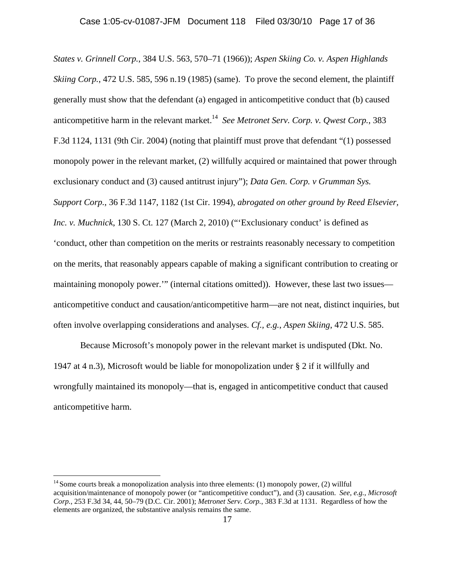*States v. Grinnell Corp.*, 384 U.S. 563, 570–71 (1966)); *Aspen Skiing Co. v. Aspen Highlands Skiing Corp.*, 472 U.S. 585, 596 n.19 (1985) (same). To prove the second element, the plaintiff generally must show that the defendant (a) engaged in anticompetitive conduct that (b) caused anticompetitive harm in the relevant market.<sup>14</sup> *See Metronet Serv. Corp. v. Qwest Corp.*, 383 F.3d 1124, 1131 (9th Cir. 2004) (noting that plaintiff must prove that defendant "(1) possessed monopoly power in the relevant market, (2) willfully acquired or maintained that power through exclusionary conduct and (3) caused antitrust injury"); *Data Gen. Corp. v Grumman Sys. Support Corp.*, 36 F.3d 1147, 1182 (1st Cir. 1994), *abrogated on other ground by Reed Elsevier, Inc. v. Muchnick*, 130 S. Ct. 127 (March 2, 2010) ("'Exclusionary conduct' is defined as 'conduct, other than competition on the merits or restraints reasonably necessary to competition on the merits, that reasonably appears capable of making a significant contribution to creating or maintaining monopoly power.'" (internal citations omitted)). However, these last two issues anticompetitive conduct and causation/anticompetitive harm—are not neat, distinct inquiries, but often involve overlapping considerations and analyses. *Cf., e.g.*, *Aspen Skiing*, 472 U.S. 585.

Because Microsoft's monopoly power in the relevant market is undisputed (Dkt. No. 1947 at 4 n.3), Microsoft would be liable for monopolization under § 2 if it willfully and wrongfully maintained its monopoly—that is, engaged in anticompetitive conduct that caused anticompetitive harm.

<sup>&</sup>lt;sup>14</sup> Some courts break a monopolization analysis into three elements: (1) monopoly power, (2) willful acquisition/maintenance of monopoly power (or "anticompetitive conduct"), and (3) causation. *See, e.g.*, *Microsoft Corp.*, 253 F.3d 34, 44, 50–79 (D.C. Cir. 2001); *Metronet Serv. Corp.*, 383 F.3d at 1131. Regardless of how the elements are organized, the substantive analysis remains the same.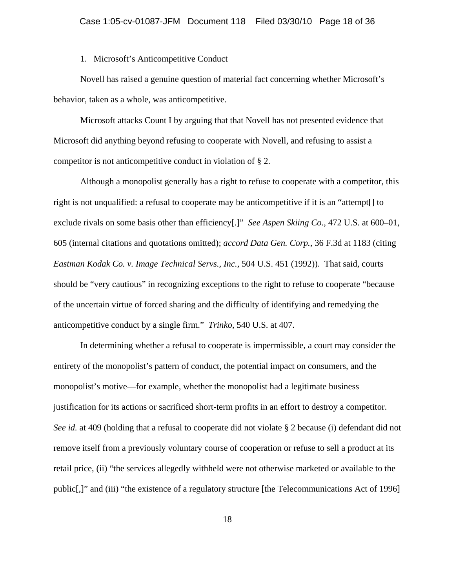## 1. Microsoft's Anticompetitive Conduct

Novell has raised a genuine question of material fact concerning whether Microsoft's behavior, taken as a whole, was anticompetitive.

Microsoft attacks Count I by arguing that that Novell has not presented evidence that Microsoft did anything beyond refusing to cooperate with Novell, and refusing to assist a competitor is not anticompetitive conduct in violation of § 2.

 Although a monopolist generally has a right to refuse to cooperate with a competitor, this right is not unqualified: a refusal to cooperate may be anticompetitive if it is an "attempt[] to exclude rivals on some basis other than efficiency[.]" *See Aspen Skiing Co.*, 472 U.S. at 600–01, 605 (internal citations and quotations omitted); *accord Data Gen. Corp.*, 36 F.3d at 1183 (citing *Eastman Kodak Co. v. Image Technical Servs., Inc.,* 504 U.S. 451 (1992)). That said, courts should be "very cautious" in recognizing exceptions to the right to refuse to cooperate "because of the uncertain virtue of forced sharing and the difficulty of identifying and remedying the anticompetitive conduct by a single firm." *Trinko*, 540 U.S. at 407.

In determining whether a refusal to cooperate is impermissible, a court may consider the entirety of the monopolist's pattern of conduct, the potential impact on consumers, and the monopolist's motive—for example, whether the monopolist had a legitimate business justification for its actions or sacrificed short-term profits in an effort to destroy a competitor. *See id.* at 409 (holding that a refusal to cooperate did not violate § 2 because (i) defendant did not remove itself from a previously voluntary course of cooperation or refuse to sell a product at its retail price, (ii) "the services allegedly withheld were not otherwise marketed or available to the public[,]" and (iii) "the existence of a regulatory structure [the Telecommunications Act of 1996]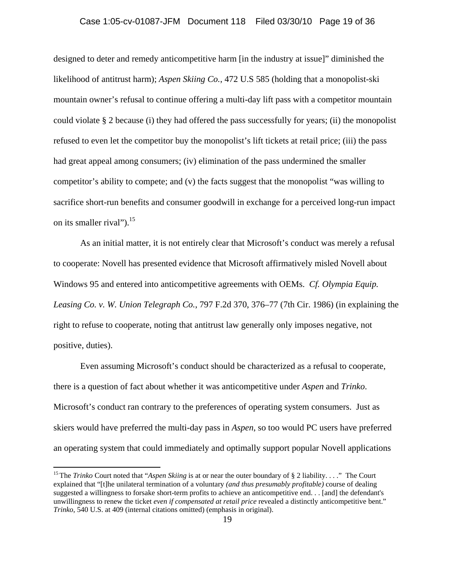# Case 1:05-cv-01087-JFM Document 118 Filed 03/30/10 Page 19 of 36

designed to deter and remedy anticompetitive harm [in the industry at issue]" diminished the likelihood of antitrust harm); *Aspen Skiing Co.*, 472 U.S 585 (holding that a monopolist-ski mountain owner's refusal to continue offering a multi-day lift pass with a competitor mountain could violate § 2 because (i) they had offered the pass successfully for years; (ii) the monopolist refused to even let the competitor buy the monopolist's lift tickets at retail price; (iii) the pass had great appeal among consumers; (iv) elimination of the pass undermined the smaller competitor's ability to compete; and (v) the facts suggest that the monopolist "was willing to sacrifice short-run benefits and consumer goodwill in exchange for a perceived long-run impact on its smaller rival"). $^{15}$ 

As an initial matter, it is not entirely clear that Microsoft's conduct was merely a refusal to cooperate: Novell has presented evidence that Microsoft affirmatively misled Novell about Windows 95 and entered into anticompetitive agreements with OEMs. *Cf. Olympia Equip. Leasing Co. v. W. Union Telegraph Co.*, 797 F.2d 370, 376–77 (7th Cir. 1986) (in explaining the right to refuse to cooperate, noting that antitrust law generally only imposes negative, not positive, duties).

Even assuming Microsoft's conduct should be characterized as a refusal to cooperate, there is a question of fact about whether it was anticompetitive under *Aspen* and *Trinko*. Microsoft's conduct ran contrary to the preferences of operating system consumers. Just as skiers would have preferred the multi-day pass in *Aspen*, so too would PC users have preferred an operating system that could immediately and optimally support popular Novell applications

<sup>15</sup> The *Trinko* Court noted that "*Aspen Skiing* is at or near the outer boundary of § 2 liability. . . ." The Court explained that "[t]he unilateral termination of a voluntary *(and thus presumably profitable)* course of dealing suggested a willingness to forsake short-term profits to achieve an anticompetitive end. . . [and] the defendant's unwillingness to renew the ticket *even if compensated at retail price* revealed a distinctly anticompetitive bent." *Trinko*, 540 U.S. at 409 (internal citations omitted) (emphasis in original).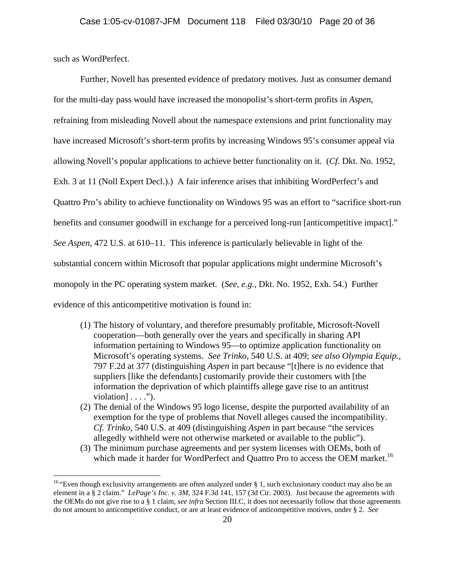such as WordPerfect.

1

Further, Novell has presented evidence of predatory motives. Just as consumer demand for the multi-day pass would have increased the monopolist's short-term profits in *Aspen*, refraining from misleading Novell about the namespace extensions and print functionality may have increased Microsoft's short-term profits by increasing Windows 95's consumer appeal via allowing Novell's popular applications to achieve better functionality on it. (*Cf.* Dkt. No. 1952, Exh. 3 at 11 (Noll Expert Decl.).) A fair inference arises that inhibiting WordPerfect's and Quattro Pro's ability to achieve functionality on Windows 95 was an effort to "sacrifice short-run benefits and consumer goodwill in exchange for a perceived long-run [anticompetitive impact]." *See Aspen*, 472 U.S. at 610–11. This inference is particularly believable in light of the substantial concern within Microsoft that popular applications might undermine Microsoft's monopoly in the PC operating system market. (*See, e.g.*, Dkt. No. 1952, Exh. 54.) Further evidence of this anticompetitive motivation is found in:

- (1) The history of voluntary, and therefore presumably profitable, Microsoft-Novell cooperation—both generally over the years and specifically in sharing API information pertaining to Windows 95—to optimize application functionality on Microsoft's operating systems. *See Trinko*, 540 U.S. at 409; *see also Olympia Equip.*, 797 F.2d at 377 (distinguishing *Aspen* in part because "[t]here is no evidence that suppliers [like the defendants] customarily provide their customers with [the information the deprivation of which plaintiffs allege gave rise to an antitrust violation] . . . .").
- (2) The denial of the Windows 95 logo license, despite the purported availability of an exemption for the type of problems that Novell alleges caused the incompatibility. *Cf. Trinko*, 540 U.S. at 409 (distinguishing *Aspen* in part because "the services allegedly withheld were not otherwise marketed or available to the public").
- (3) The minimum purchase agreements and per system licenses with OEMs, both of which made it harder for WordPerfect and Quattro Pro to access the OEM market.<sup>16</sup>

<sup>&</sup>lt;sup>16</sup> "Even though exclusivity arrangements are often analyzed under § 1, such exclusionary conduct may also be an element in a § 2 claim." *LePage's Inc. v. 3M*, 324 F.3d 141, 157 (3d Cir. 2003). Just because the agreements with the OEMs do not give rise to a § 1 claim, *see infra* Section III.C, it does not necessarily follow that those agreements do not amount to anticompetitive conduct, or are at least evidence of anticompetitive motives, under § 2. *See*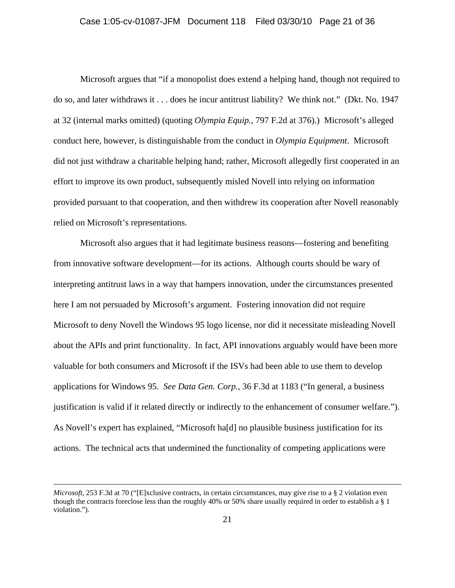Microsoft argues that "if a monopolist does extend a helping hand, though not required to do so, and later withdraws it . . . does he incur antitrust liability? We think not." (Dkt. No. 1947 at 32 (internal marks omitted) (quoting *Olympia Equip.*, 797 F.2d at 376).) Microsoft's alleged conduct here, however, is distinguishable from the conduct in *Olympia Equipment*. Microsoft did not just withdraw a charitable helping hand; rather, Microsoft allegedly first cooperated in an effort to improve its own product, subsequently misled Novell into relying on information provided pursuant to that cooperation, and then withdrew its cooperation after Novell reasonably relied on Microsoft's representations.

Microsoft also argues that it had legitimate business reasons—fostering and benefiting from innovative software development—for its actions. Although courts should be wary of interpreting antitrust laws in a way that hampers innovation, under the circumstances presented here I am not persuaded by Microsoft's argument. Fostering innovation did not require Microsoft to deny Novell the Windows 95 logo license, nor did it necessitate misleading Novell about the APIs and print functionality. In fact, API innovations arguably would have been more valuable for both consumers and Microsoft if the ISVs had been able to use them to develop applications for Windows 95. *See Data Gen. Corp.*, 36 F.3d at 1183 ("In general, a business justification is valid if it related directly or indirectly to the enhancement of consumer welfare."). As Novell's expert has explained, "Microsoft ha[d] no plausible business justification for its actions. The technical acts that undermined the functionality of competing applications were

*Microsoft*, 253 F.3d at 70 ("[E]xclusive contracts, in certain circumstances, may give rise to a § 2 violation even though the contracts foreclose less than the roughly 40% or 50% share usually required in order to establish a § 1 violation.").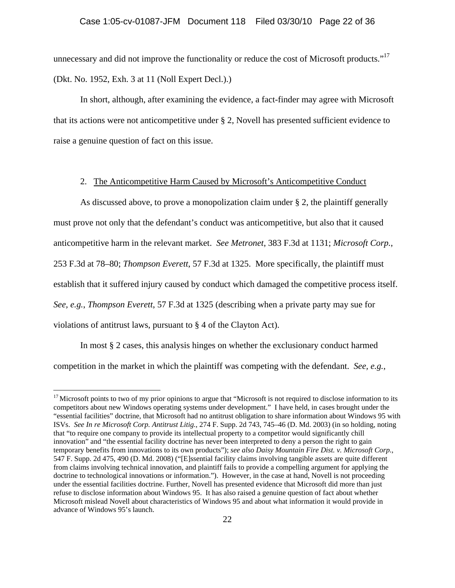unnecessary and did not improve the functionality or reduce the cost of Microsoft products."<sup>17</sup> (Dkt. No. 1952, Exh. 3 at 11 (Noll Expert Decl.).)

In short, although, after examining the evidence, a fact-finder may agree with Microsoft that its actions were not anticompetitive under § 2, Novell has presented sufficient evidence to raise a genuine question of fact on this issue.

# 2. The Anticompetitive Harm Caused by Microsoft's Anticompetitive Conduct

As discussed above, to prove a monopolization claim under § 2, the plaintiff generally must prove not only that the defendant's conduct was anticompetitive, but also that it caused anticompetitive harm in the relevant market. *See Metronet*, 383 F.3d at 1131; *Microsoft Corp.*, 253 F.3d at 78–80; *Thompson Everett*, 57 F.3d at 1325. More specifically, the plaintiff must establish that it suffered injury caused by conduct which damaged the competitive process itself. *See, e.g.*, *Thompson Everett*, 57 F.3d at 1325 (describing when a private party may sue for violations of antitrust laws, pursuant to § 4 of the Clayton Act).

In most § 2 cases, this analysis hinges on whether the exclusionary conduct harmed competition in the market in which the plaintiff was competing with the defendant. *See, e.g.*,

<sup>&</sup>lt;sup>17</sup> Microsoft points to two of my prior opinions to argue that "Microsoft is not required to disclose information to its competitors about new Windows operating systems under development." I have held, in cases brought under the "essential facilities" doctrine, that Microsoft had no antitrust obligation to share information about Windows 95 with ISVs. *See In re Microsoft Corp. Antitrust Litig.*, 274 F. Supp. 2d 743, 745–46 (D. Md. 2003) (in so holding, noting that "to require one company to provide its intellectual property to a competitor would significantly chill innovation" and "the essential facility doctrine has never been interpreted to deny a person the right to gain temporary benefits from innovations to its own products"); *see also Daisy Mountain Fire Dist. v. Microsoft Corp.*, 547 F. Supp. 2d 475, 490 (D. Md. 2008) ("[E]ssential facility claims involving tangible assets are quite different from claims involving technical innovation, and plaintiff fails to provide a compelling argument for applying the doctrine to technological innovations or information."). However, in the case at hand, Novell is not proceeding under the essential facilities doctrine. Further, Novell has presented evidence that Microsoft did more than just refuse to disclose information about Windows 95. It has also raised a genuine question of fact about whether Microsoft mislead Novell about characteristics of Windows 95 and about what information it would provide in advance of Windows 95's launch.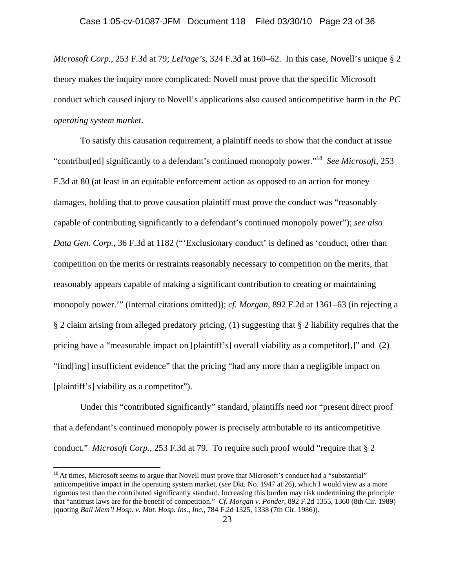*Microsoft Corp.*, 253 F.3d at 79; *LePage's*, 324 F.3d at 160–62. In this case, Novell's unique § 2 theory makes the inquiry more complicated: Novell must prove that the specific Microsoft conduct which caused injury to Novell's applications also caused anticompetitive harm in the *PC operating system market*.

To satisfy this causation requirement, a plaintiff needs to show that the conduct at issue "contribut[ed] significantly to a defendant's continued monopoly power."18 *See Microsoft*, 253 F.3d at 80 (at least in an equitable enforcement action as opposed to an action for money damages, holding that to prove causation plaintiff must prove the conduct was "reasonably capable of contributing significantly to a defendant's continued monopoly power"); *see also Data Gen. Corp.*, 36 F.3d at 1182 ("Exclusionary conduct' is defined as 'conduct, other than competition on the merits or restraints reasonably necessary to competition on the merits, that reasonably appears capable of making a significant contribution to creating or maintaining monopoly power.'" (internal citations omitted)); *cf. Morgan*, 892 F.2d at 1361–63 (in rejecting a § 2 claim arising from alleged predatory pricing, (1) suggesting that § 2 liability requires that the pricing have a "measurable impact on [plaintiff's] overall viability as a competitor[,]" and (2) "find[ing] insufficient evidence" that the pricing "had any more than a negligible impact on [plaintiff's] viability as a competitor").

Under this "contributed significantly" standard, plaintiffs need *not* "present direct proof that a defendant's continued monopoly power is precisely attributable to its anticompetitive conduct." *Microsoft Corp.*, 253 F.3d at 79. To require such proof would "require that § 2

<sup>&</sup>lt;sup>18</sup> At times, Microsoft seems to argue that Novell must prove that Microsoft's conduct had a "substantial" anticompetitive impact in the operating system market, (*see* Dkt. No. 1947 at 26), which I would view as a more rigorous test than the contributed significantly standard. Increasing this burden may risk undermining the principle that "antitrust laws are for the benefit of competition." *Cf. Morgan v. Ponder*, 892 F.2d 1355, 1360 (8th Cir. 1989) (quoting *Ball Mem'l Hosp. v. Mut. Hosp. Ins., Inc.*, 784 F.2d 1325, 1338 (7th Cir. 1986)).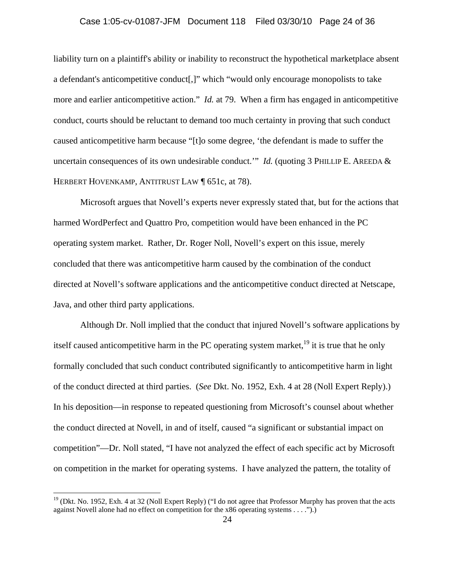# Case 1:05-cv-01087-JFM Document 118 Filed 03/30/10 Page 24 of 36

liability turn on a plaintiff's ability or inability to reconstruct the hypothetical marketplace absent a defendant's anticompetitive conduct[,]" which "would only encourage monopolists to take more and earlier anticompetitive action." *Id.* at 79. When a firm has engaged in anticompetitive conduct, courts should be reluctant to demand too much certainty in proving that such conduct caused anticompetitive harm because "[t]o some degree, 'the defendant is made to suffer the uncertain consequences of its own undesirable conduct." *Id.* (quoting 3 PHILLIP E. AREEDA & HERBERT HOVENKAMP, ANTITRUST LAW | 651c, at 78).

Microsoft argues that Novell's experts never expressly stated that, but for the actions that harmed WordPerfect and Quattro Pro, competition would have been enhanced in the PC operating system market. Rather, Dr. Roger Noll, Novell's expert on this issue, merely concluded that there was anticompetitive harm caused by the combination of the conduct directed at Novell's software applications and the anticompetitive conduct directed at Netscape, Java, and other third party applications.

Although Dr. Noll implied that the conduct that injured Novell's software applications by itself caused anticompetitive harm in the PC operating system market,<sup>19</sup> it is true that he only formally concluded that such conduct contributed significantly to anticompetitive harm in light of the conduct directed at third parties. (*See* Dkt. No. 1952, Exh. 4 at 28 (Noll Expert Reply).) In his deposition—in response to repeated questioning from Microsoft's counsel about whether the conduct directed at Novell, in and of itself, caused "a significant or substantial impact on competition"—Dr. Noll stated, "I have not analyzed the effect of each specific act by Microsoft on competition in the market for operating systems. I have analyzed the pattern, the totality of

 $19$  (Dkt. No. 1952, Exh. 4 at 32 (Noll Expert Reply) ("I do not agree that Professor Murphy has proven that the acts against Novell alone had no effect on competition for the x86 operating systems . . . .").)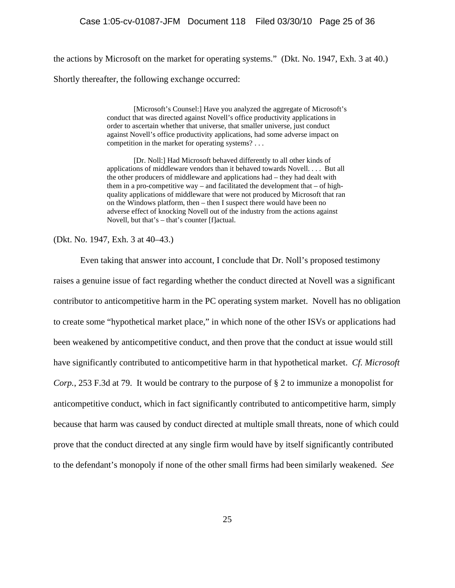the actions by Microsoft on the market for operating systems." (Dkt. No. 1947, Exh. 3 at 40.) Shortly thereafter, the following exchange occurred:

> [Microsoft's Counsel:] Have you analyzed the aggregate of Microsoft's conduct that was directed against Novell's office productivity applications in order to ascertain whether that universe, that smaller universe, just conduct against Novell's office productivity applications, had some adverse impact on competition in the market for operating systems? . . .

> [Dr. Noll:] Had Microsoft behaved differently to all other kinds of applications of middleware vendors than it behaved towards Novell. . . . But all the other producers of middleware and applications had – they had dealt with them in a pro-competitive way – and facilitated the development that – of highquality applications of middleware that were not produced by Microsoft that ran on the Windows platform, then – then I suspect there would have been no adverse effect of knocking Novell out of the industry from the actions against Novell, but that's – that's counter [f]actual.

(Dkt. No. 1947, Exh. 3 at 40–43.)

Even taking that answer into account, I conclude that Dr. Noll's proposed testimony raises a genuine issue of fact regarding whether the conduct directed at Novell was a significant contributor to anticompetitive harm in the PC operating system market. Novell has no obligation to create some "hypothetical market place," in which none of the other ISVs or applications had been weakened by anticompetitive conduct, and then prove that the conduct at issue would still have significantly contributed to anticompetitive harm in that hypothetical market. *Cf. Microsoft Corp.*, 253 F.3d at 79. It would be contrary to the purpose of § 2 to immunize a monopolist for anticompetitive conduct, which in fact significantly contributed to anticompetitive harm, simply because that harm was caused by conduct directed at multiple small threats, none of which could prove that the conduct directed at any single firm would have by itself significantly contributed to the defendant's monopoly if none of the other small firms had been similarly weakened. *See*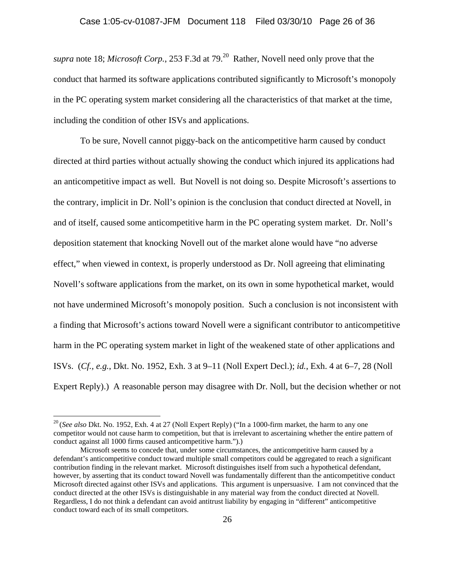*supra* note 18; *Microsoft Corp.*, 253 F.3d at 79.<sup>20</sup> Rather, Novell need only prove that the conduct that harmed its software applications contributed significantly to Microsoft's monopoly in the PC operating system market considering all the characteristics of that market at the time, including the condition of other ISVs and applications.

To be sure, Novell cannot piggy-back on the anticompetitive harm caused by conduct directed at third parties without actually showing the conduct which injured its applications had an anticompetitive impact as well. But Novell is not doing so. Despite Microsoft's assertions to the contrary, implicit in Dr. Noll's opinion is the conclusion that conduct directed at Novell, in and of itself, caused some anticompetitive harm in the PC operating system market. Dr. Noll's deposition statement that knocking Novell out of the market alone would have "no adverse effect," when viewed in context, is properly understood as Dr. Noll agreeing that eliminating Novell's software applications from the market, on its own in some hypothetical market, would not have undermined Microsoft's monopoly position. Such a conclusion is not inconsistent with a finding that Microsoft's actions toward Novell were a significant contributor to anticompetitive harm in the PC operating system market in light of the weakened state of other applications and ISVs. (*Cf., e.g.*, Dkt. No. 1952, Exh. 3 at 9–11 (Noll Expert Decl.); *id.*, Exh. 4 at 6–7, 28 (Noll Expert Reply).) A reasonable person may disagree with Dr. Noll, but the decision whether or not

<u>.</u>

<sup>&</sup>lt;sup>20</sup> (*See also* Dkt. No. 1952, Exh. 4 at 27 (Noll Expert Reply) ("In a 1000-firm market, the harm to any one competitor would not cause harm to competition, but that is irrelevant to ascertaining whether the entire pattern of conduct against all 1000 firms caused anticompetitive harm.").)

Microsoft seems to concede that, under some circumstances, the anticompetitive harm caused by a defendant's anticompetitive conduct toward multiple small competitors could be aggregated to reach a significant contribution finding in the relevant market. Microsoft distinguishes itself from such a hypothetical defendant, however, by asserting that its conduct toward Novell was fundamentally different than the anticompetitive conduct Microsoft directed against other ISVs and applications. This argument is unpersuasive. I am not convinced that the conduct directed at the other ISVs is distinguishable in any material way from the conduct directed at Novell. Regardless, I do not think a defendant can avoid antitrust liability by engaging in "different" anticompetitive conduct toward each of its small competitors.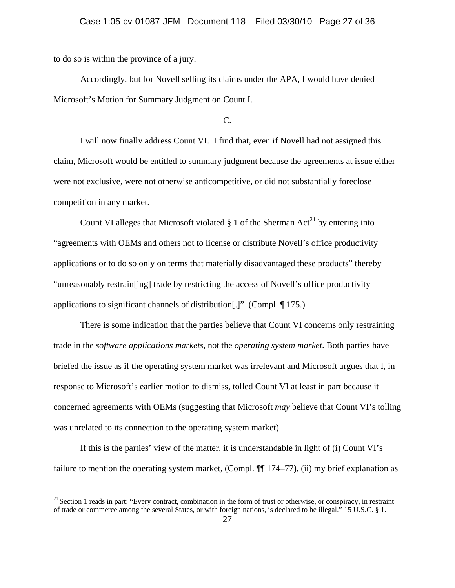to do so is within the province of a jury.

 $\overline{a}$ 

Accordingly, but for Novell selling its claims under the APA, I would have denied Microsoft's Motion for Summary Judgment on Count I.

## C.

I will now finally address Count VI. I find that, even if Novell had not assigned this claim, Microsoft would be entitled to summary judgment because the agreements at issue either were not exclusive, were not otherwise anticompetitive, or did not substantially foreclose competition in any market.

Count VI alleges that Microsoft violated  $\S 1$  of the Sherman Act<sup>21</sup> by entering into "agreements with OEMs and others not to license or distribute Novell's office productivity applications or to do so only on terms that materially disadvantaged these products" thereby "unreasonably restrain[ing] trade by restricting the access of Novell's office productivity applications to significant channels of distribution[.]" (Compl. ¶ 175.)

There is some indication that the parties believe that Count VI concerns only restraining trade in the *software applications markets*, not the *operating system market*. Both parties have briefed the issue as if the operating system market was irrelevant and Microsoft argues that I, in response to Microsoft's earlier motion to dismiss, tolled Count VI at least in part because it concerned agreements with OEMs (suggesting that Microsoft *may* believe that Count VI's tolling was unrelated to its connection to the operating system market).

If this is the parties' view of the matter, it is understandable in light of (i) Count VI's failure to mention the operating system market, (Compl. ¶ 174–77), (ii) my brief explanation as

<sup>&</sup>lt;sup>21</sup> Section 1 reads in part: "Every contract, combination in the form of trust or otherwise, or conspiracy, in restraint of trade or commerce among the several States, or with foreign nations, is declared to be illegal." 15 U.S.C. § 1.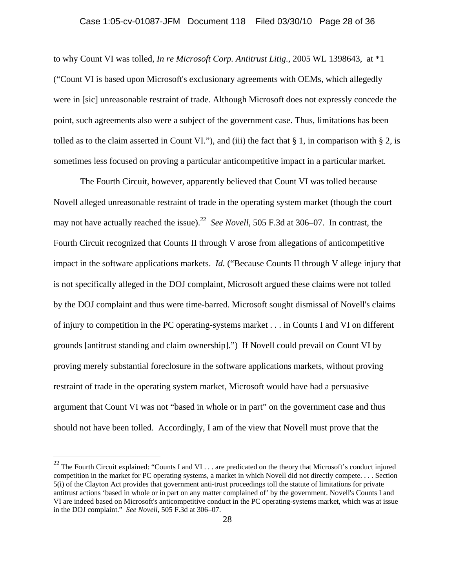## Case 1:05-cv-01087-JFM Document 118 Filed 03/30/10 Page 28 of 36

to why Count VI was tolled, *In re Microsoft Corp. Antitrust Litig.*, 2005 WL 1398643, at \*1 ("Count VI is based upon Microsoft's exclusionary agreements with OEMs, which allegedly were in [sic] unreasonable restraint of trade. Although Microsoft does not expressly concede the point, such agreements also were a subject of the government case. Thus, limitations has been tolled as to the claim asserted in Count VI."), and (iii) the fact that  $\S 1$ , in comparison with  $\S 2$ , is sometimes less focused on proving a particular anticompetitive impact in a particular market.

The Fourth Circuit, however, apparently believed that Count VI was tolled because Novell alleged unreasonable restraint of trade in the operating system market (though the court may not have actually reached the issue).<sup>22</sup> *See Novell*, 505 F.3d at 306–07. In contrast, the Fourth Circuit recognized that Counts II through V arose from allegations of anticompetitive impact in the software applications markets. *Id.* ("Because Counts II through V allege injury that is not specifically alleged in the DOJ complaint, Microsoft argued these claims were not tolled by the DOJ complaint and thus were time-barred. Microsoft sought dismissal of Novell's claims of injury to competition in the PC operating-systems market . . . in Counts I and VI on different grounds [antitrust standing and claim ownership].") If Novell could prevail on Count VI by proving merely substantial foreclosure in the software applications markets, without proving restraint of trade in the operating system market, Microsoft would have had a persuasive argument that Count VI was not "based in whole or in part" on the government case and thus should not have been tolled. Accordingly, I am of the view that Novell must prove that the

<sup>&</sup>lt;sup>22</sup> The Fourth Circuit explained: "Counts I and VI . . . are predicated on the theory that Microsoft's conduct injured competition in the market for PC operating systems, a market in which Novell did not directly compete. . . . Section 5(i) of the Clayton Act provides that government anti-trust proceedings toll the statute of limitations for private antitrust actions 'based in whole or in part on any matter complained of' by the government. Novell's Counts I and VI are indeed based on Microsoft's anticompetitive conduct in the PC operating-systems market, which was at issue in the DOJ complaint." *See Novell*, 505 F.3d at 306–07.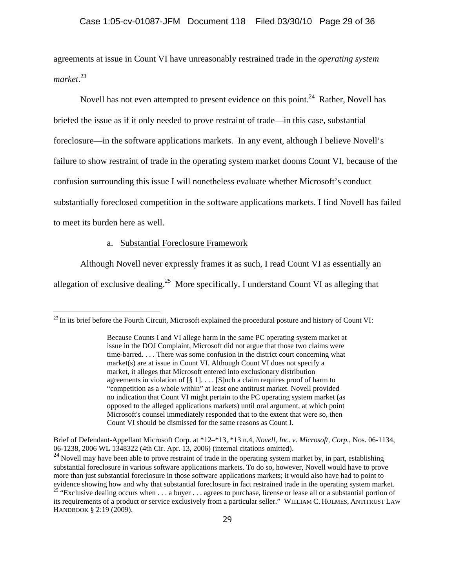agreements at issue in Count VI have unreasonably restrained trade in the *operating system market*. 23

Novell has not even attempted to present evidence on this point.<sup>24</sup> Rather, Novell has briefed the issue as if it only needed to prove restraint of trade—in this case, substantial foreclosure—in the software applications markets. In any event, although I believe Novell's failure to show restraint of trade in the operating system market dooms Count VI, because of the confusion surrounding this issue I will nonetheless evaluate whether Microsoft's conduct substantially foreclosed competition in the software applications markets. I find Novell has failed to meet its burden here as well.

a. Substantial Foreclosure Framework

 $\overline{a}$ 

Although Novell never expressly frames it as such, I read Count VI as essentially an

allegation of exclusive dealing.<sup>25</sup> More specifically, I understand Count VI as alleging that

<sup>&</sup>lt;sup>23</sup> In its brief before the Fourth Circuit, Microsoft explained the procedural posture and history of Count VI:

Because Counts I and VI allege harm in the same PC operating system market at issue in the DOJ Complaint, Microsoft did not argue that those two claims were time-barred. . . . There was some confusion in the district court concerning what market(s) are at issue in Count VI. Although Count VI does not specify a market, it alleges that Microsoft entered into exclusionary distribution agreements in violation of  $[\S 1]$ .... [S]uch a claim requires proof of harm to "competition as a whole within" at least one antitrust market. Novell provided no indication that Count VI might pertain to the PC operating system market (as opposed to the alleged applications markets) until oral argument, at which point Microsoft's counsel immediately responded that to the extent that were so, then Count VI should be dismissed for the same reasons as Count I.

Brief of Defendant-Appellant Microsoft Corp. at \*12–\*13, \*13 n.4, *Novell, Inc. v. Microsoft, Corp.*, Nos. 06-1134, 06-1238, 2006 WL 1348322 (4th Cir. Apr. 13, 2006) (internal citations omitted).

<sup>&</sup>lt;sup>24</sup> Novell may have been able to prove restraint of trade in the operating system market by, in part, establishing substantial foreclosure in various software applications markets. To do so, however, Novell would have to prove more than just substantial foreclosure in those software applications markets; it would also have had to point to evidence showing how and why that substantial foreclosure in fact restrained trade in the operating system market.<br><sup>25</sup> "Exclusive dealing occurs when . . . a buyer . . . agrees to purchase, license or lease all or a subs its requirements of a product or service exclusively from a particular seller." WILLIAM C. HOLMES, ANTITRUST LAW HANDBOOK § 2:19 (2009).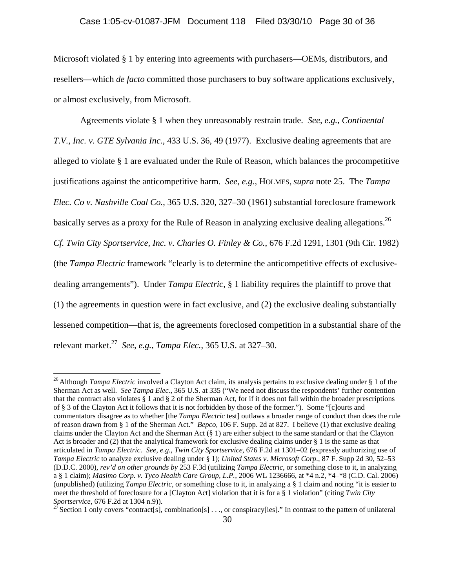# Case 1:05-cv-01087-JFM Document 118 Filed 03/30/10 Page 30 of 36

Microsoft violated § 1 by entering into agreements with purchasers—OEMs, distributors, and resellers—which *de facto* committed those purchasers to buy software applications exclusively, or almost exclusively, from Microsoft.

Agreements violate § 1 when they unreasonably restrain trade. *See, e.g.*, *Continental T.V., Inc. v. GTE Sylvania Inc.*, 433 U.S. 36, 49 (1977). Exclusive dealing agreements that are alleged to violate § 1 are evaluated under the Rule of Reason, which balances the procompetitive justifications against the anticompetitive harm. *See, e.g.*, HOLMES, *supra* note 25. The *Tampa Elec. Co v. Nashville Coal Co.*, 365 U.S. 320, 327–30 (1961) substantial foreclosure framework basically serves as a proxy for the Rule of Reason in analyzing exclusive dealing allegations.<sup>26</sup> *Cf. Twin City Sportservice, Inc. v. Charles O. Finley & Co.*, 676 F.2d 1291, 1301 (9th Cir. 1982) (the *Tampa Electric* framework "clearly is to determine the anticompetitive effects of exclusivedealing arrangements"). Under *Tampa Electric*, § 1 liability requires the plaintiff to prove that (1) the agreements in question were in fact exclusive, and (2) the exclusive dealing substantially lessened competition—that is, the agreements foreclosed competition in a substantial share of the relevant market.27 *See, e.g.*, *Tampa Elec.*, 365 U.S. at 327–30.

<sup>26</sup> Although *Tampa Electric* involved a Clayton Act claim, its analysis pertains to exclusive dealing under § 1 of the Sherman Act as well. *See Tampa Elec.*, 365 U.S. at 335 ("We need not discuss the respondents' further contention that the contract also violates  $\S 1$  and  $\S 2$  of the Sherman Act, for if it does not fall within the broader prescriptions of § 3 of the Clayton Act it follows that it is not forbidden by those of the former."). Some "[c]ourts and commentators disagree as to whether [the *Tampa Electric* test] outlaws a broader range of conduct than does the rule of reason drawn from § 1 of the Sherman Act." *Bepco*, 106 F. Supp. 2d at 827. I believe (1) that exclusive dealing claims under the Clayton Act and the Sherman Act (§ 1) are either subject to the same standard or that the Clayton Act is broader and (2) that the analytical framework for exclusive dealing claims under § 1 is the same as that articulated in *Tampa Electric*. *See, e.g.*, *Twin City Sportservice*, 676 F.2d at 1301–02 (expressly authorizing use of *Tampa Electric* to analyze exclusive dealing under § 1); *United States v. Microsoft Corp.*, 87 F. Supp 2d 30, 52–53 (D.D.C. 2000), *rev'd on other grounds by* 253 F.3d (utilizing *Tampa Electric*, or something close to it, in analyzing a § 1 claim); *Masimo Corp. v. Tyco Health Care Group, L.P.*, 2006 WL 1236666, at \*4 n.2, \*4–\*8 (C.D. Cal. 2006) (unpublished) (utilizing *Tampa Electric*, or something close to it, in analyzing a § 1 claim and noting "it is easier to meet the threshold of foreclosure for a [Clayton Act] violation that it is for a § 1 violation" (citing *Twin City Sportservice*, 676 F.2d at 1304 n.9)).

Section 1 only covers "contract[s], combination[s] . . ., or conspiracy[ies]." In contrast to the pattern of unilateral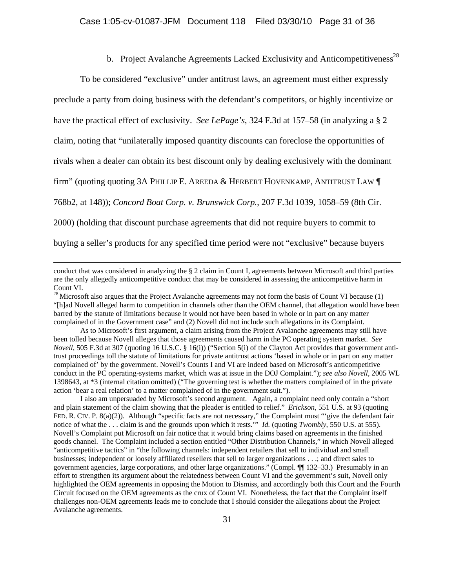# b. Project Avalanche Agreements Lacked Exclusivity and Anticompetitiveness<sup>28</sup>

To be considered "exclusive" under antitrust laws, an agreement must either expressly preclude a party from doing business with the defendant's competitors, or highly incentivize or have the practical effect of exclusivity. *See LePage's*, 324 F.3d at 157–58 (in analyzing a § 2 claim, noting that "unilaterally imposed quantity discounts can foreclose the opportunities of rivals when a dealer can obtain its best discount only by dealing exclusively with the dominant firm" (quoting quoting 3A PHILLIP E. AREEDA & HERBERT HOVENKAMP, ANTITRUST LAW ¶ 768b2, at 148)); *Concord Boat Corp. v. Brunswick Corp.*, 207 F.3d 1039, 1058–59 (8th Cir. 2000) (holding that discount purchase agreements that did not require buyers to commit to

buying a seller's products for any specified time period were not "exclusive" because buyers

 As to Microsoft's first argument, a claim arising from the Project Avalanche agreements may still have been tolled because Novell alleges that those agreements caused harm in the PC operating system market. *See Novell*, 505 F.3d at 307 (quoting 16 U.S.C. § 16(i)) ("Section 5(i) of the Clayton Act provides that government antitrust proceedings toll the statute of limitations for private antitrust actions 'based in whole or in part on any matter complained of' by the government. Novell's Counts I and VI are indeed based on Microsoft's anticompetitive conduct in the PC operating-systems market, which was at issue in the DOJ Complaint."); *see also Novell*, 2005 WL 1398643, at \*3 (internal citation omitted) ("The governing test is whether the matters complained of in the private action 'bear a real relation' to a matter complained of in the government suit.").

I also am unpersuaded by Microsoft's second argument. Again, a complaint need only contain a "short and plain statement of the claim showing that the pleader is entitled to relief." *Erickson*, 551 U.S. at 93 (quoting FED. R. CIV. P. 8(a)(2)). Although "specific facts are not necessary," the Complaint must "'give the defendant fair notice of what the . . . claim is and the grounds upon which it rests.'" *Id.* (quoting *Twombly*, 550 U.S. at 555). Novell's Complaint put Microsoft on fair notice that it would bring claims based on agreements in the finished goods channel. The Complaint included a section entitled "Other Distribution Channels," in which Novell alleged "anticompetitive tactics" in "the following channels: independent retailers that sell to individual and small businesses; independent or loosely affiliated resellers that sell to larger organizations . . .; and direct sales to government agencies, large corporations, and other large organizations." (Compl. ¶¶ 132–33.) Presumably in an effort to strengthen its argument about the relatedness between Count VI and the government's suit, Novell only highlighted the OEM agreements in opposing the Motion to Dismiss, and accordingly both this Court and the Fourth Circuit focused on the OEM agreements as the crux of Count VI. Nonetheless, the fact that the Complaint itself challenges non-OEM agreements leads me to conclude that I should consider the allegations about the Project Avalanche agreements.

conduct that was considered in analyzing the § 2 claim in Count I, agreements between Microsoft and third parties are the only allegedly anticompetitive conduct that may be considered in assessing the anticompetitive harm in Count VI.

 $^{28}$  Microsoft also argues that the Project Avalanche agreements may not form the basis of Count VI because (1) "[h]ad Novell alleged harm to competition in channels other than the OEM channel, that allegation would have been barred by the statute of limitations because it would not have been based in whole or in part on any matter complained of in the Government case" and (2) Novell did not include such allegations in its Complaint.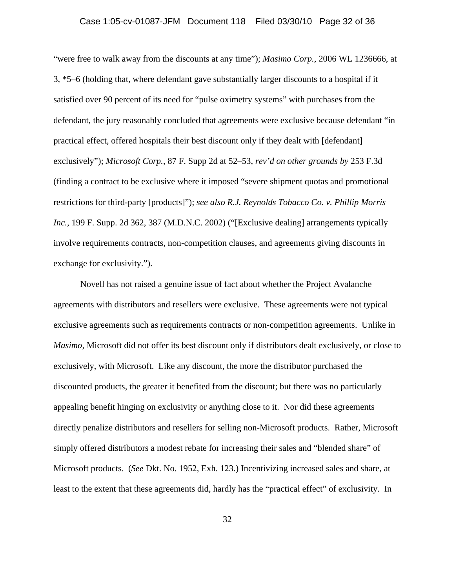"were free to walk away from the discounts at any time"); *Masimo Corp.*, 2006 WL 1236666, at 3, \*5–6 (holding that, where defendant gave substantially larger discounts to a hospital if it satisfied over 90 percent of its need for "pulse oximetry systems" with purchases from the defendant, the jury reasonably concluded that agreements were exclusive because defendant "in practical effect, offered hospitals their best discount only if they dealt with [defendant] exclusively"); *Microsoft Corp.*, 87 F. Supp 2d at 52–53, *rev'd on other grounds by* 253 F.3d (finding a contract to be exclusive where it imposed "severe shipment quotas and promotional restrictions for third-party [products]"); *see also R.J. Reynolds Tobacco Co. v. Phillip Morris Inc.*, 199 F. Supp. 2d 362, 387 (M.D.N.C. 2002) ("[Exclusive dealing] arrangements typically involve requirements contracts, non-competition clauses, and agreements giving discounts in exchange for exclusivity.").

Novell has not raised a genuine issue of fact about whether the Project Avalanche agreements with distributors and resellers were exclusive. These agreements were not typical exclusive agreements such as requirements contracts or non-competition agreements. Unlike in *Masimo*, Microsoft did not offer its best discount only if distributors dealt exclusively, or close to exclusively, with Microsoft. Like any discount, the more the distributor purchased the discounted products, the greater it benefited from the discount; but there was no particularly appealing benefit hinging on exclusivity or anything close to it. Nor did these agreements directly penalize distributors and resellers for selling non-Microsoft products. Rather, Microsoft simply offered distributors a modest rebate for increasing their sales and "blended share" of Microsoft products. (*See* Dkt. No. 1952, Exh. 123.) Incentivizing increased sales and share, at least to the extent that these agreements did, hardly has the "practical effect" of exclusivity. In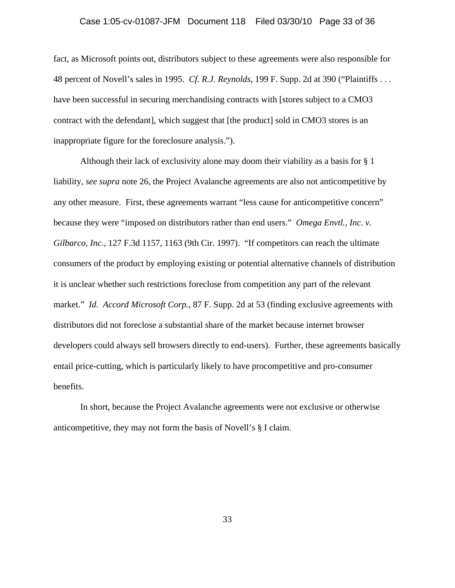# Case 1:05-cv-01087-JFM Document 118 Filed 03/30/10 Page 33 of 36

fact, as Microsoft points out, distributors subject to these agreements were also responsible for 48 percent of Novell's sales in 1995. *Cf. R.J. Reynolds*, 199 F. Supp. 2d at 390 ("Plaintiffs . . . have been successful in securing merchandising contracts with [stores subject to a CMO3 contract with the defendant], which suggest that [the product] sold in CMO3 stores is an inappropriate figure for the foreclosure analysis.").

Although their lack of exclusivity alone may doom their viability as a basis for § 1 liability, *see supra* note 26, the Project Avalanche agreements are also not anticompetitive by any other measure. First, these agreements warrant "less cause for anticompetitive concern" because they were "imposed on distributors rather than end users." *Omega Envtl., Inc. v. Gilbarco, Inc.*, 127 F.3d 1157, 1163 (9th Cir. 1997). "If competitors can reach the ultimate consumers of the product by employing existing or potential alternative channels of distribution it is unclear whether such restrictions foreclose from competition any part of the relevant market." *Id. Accord Microsoft Corp.*, 87 F. Supp. 2d at 53 (finding exclusive agreements with distributors did not foreclose a substantial share of the market because internet browser developers could always sell browsers directly to end-users). Further, these agreements basically entail price-cutting, which is particularly likely to have procompetitive and pro-consumer benefits.

In short, because the Project Avalanche agreements were not exclusive or otherwise anticompetitive, they may not form the basis of Novell's § I claim.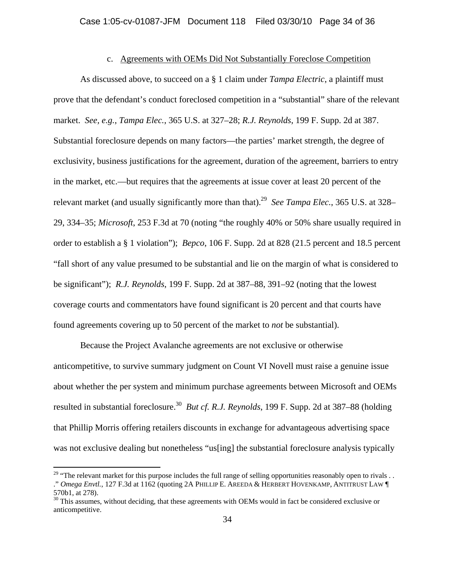## c. Agreements with OEMs Did Not Substantially Foreclose Competition

 As discussed above, to succeed on a § 1 claim under *Tampa Electric*, a plaintiff must prove that the defendant's conduct foreclosed competition in a "substantial" share of the relevant market. *See, e.g.*, *Tampa Elec.*, 365 U.S. at 327–28; *R.J. Reynolds*, 199 F. Supp. 2d at 387. Substantial foreclosure depends on many factors—the parties' market strength, the degree of exclusivity, business justifications for the agreement, duration of the agreement, barriers to entry in the market, etc.—but requires that the agreements at issue cover at least 20 percent of the relevant market (and usually significantly more than that).<sup>29</sup> *See Tampa Elec.*, 365 U.S. at 328– 29, 334–35; *Microsoft*, 253 F.3d at 70 (noting "the roughly 40% or 50% share usually required in order to establish a § 1 violation"); *Bepco*, 106 F. Supp. 2d at 828 (21.5 percent and 18.5 percent "fall short of any value presumed to be substantial and lie on the margin of what is considered to be significant"); *R.J. Reynolds*, 199 F. Supp. 2d at 387–88, 391–92 (noting that the lowest coverage courts and commentators have found significant is 20 percent and that courts have found agreements covering up to 50 percent of the market to *not* be substantial).

Because the Project Avalanche agreements are not exclusive or otherwise anticompetitive, to survive summary judgment on Count VI Novell must raise a genuine issue about whether the per system and minimum purchase agreements between Microsoft and OEMs resulted in substantial foreclosure.30 *But cf. R.J. Reynolds*, 199 F. Supp. 2d at 387–88 (holding that Phillip Morris offering retailers discounts in exchange for advantageous advertising space was not exclusive dealing but nonetheless "us[ing] the substantial foreclosure analysis typically

<sup>&</sup>lt;sup>29</sup> "The relevant market for this purpose includes the full range of selling opportunities reasonably open to rivals . . ." *Omega Envtl.*, 127 F.3d at 1162 (quoting 2A PHILLIP E. AREEDA & HERBERT HOVENKAMP, ANTITRUST LAW ¶ 570b1, at 278).

<sup>&</sup>lt;sup>30</sup> This assumes, without deciding, that these agreements with OEMs would in fact be considered exclusive or anticompetitive.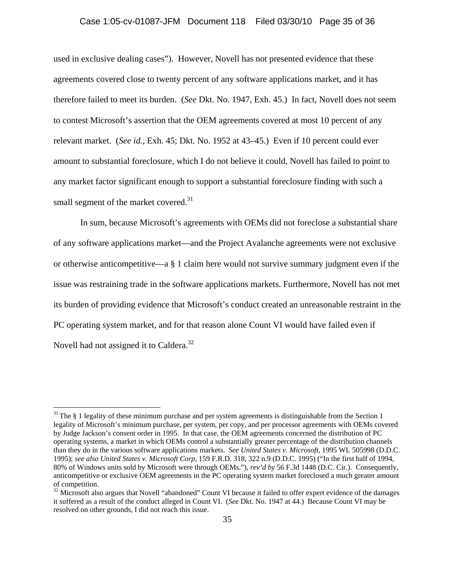## Case 1:05-cv-01087-JFM Document 118 Filed 03/30/10 Page 35 of 36

used in exclusive dealing cases"). However, Novell has not presented evidence that these agreements covered close to twenty percent of any software applications market, and it has therefore failed to meet its burden. (*See* Dkt. No. 1947, Exh. 45.) In fact, Novell does not seem to contest Microsoft's assertion that the OEM agreements covered at most 10 percent of any relevant market. (*See id.*, Exh. 45; Dkt. No. 1952 at 43–45.) Even if 10 percent could ever amount to substantial foreclosure, which I do not believe it could, Novell has failed to point to any market factor significant enough to support a substantial foreclosure finding with such a small segment of the market covered.<sup>31</sup>

In sum, because Microsoft's agreements with OEMs did not foreclose a substantial share of any software applications market—and the Project Avalanche agreements were not exclusive or otherwise anticompetitive—a § 1 claim here would not survive summary judgment even if the issue was restraining trade in the software applications markets. Furthermore, Novell has not met its burden of providing evidence that Microsoft's conduct created an unreasonable restraint in the PC operating system market, and for that reason alone Count VI would have failed even if Novell had not assigned it to Caldera.<sup>32</sup>

 $31$  The § 1 legality of these minimum purchase and per system agreements is distinguishable from the Section 1 legality of Microsoft's minimum purchase, per system, per copy, and per processor agreements with OEMs covered by Judge Jackson's consent order in 1995. In that case, the OEM agreements concerned the distribution of PC operating systems, a market in which OEMs control a substantially greater percentage of the distribution channels than they do in the various software applications markets. *See United States v. Microsoft*, 1995 WL 505998 (D.D.C. 1995); *see also United States v. Microsoft Corp*, 159 F.R.D. 318, 322 n.9 (D.D.C. 1995) ("In the first half of 1994, 80% of Windows units sold by Microsoft were through OEMs."), *rev'd by* 56 F.3d 1448 (D.C. Cir.). Consequently, anticompetitive or exclusive OEM agreements in the PC operating system market foreclosed a much greater amount of competition.

 $32$  Microsoft also argues that Novell "abandoned" Count VI because it failed to offer expert evidence of the damages it suffered as a result of the conduct alleged in Count VI. (*See* Dkt. No. 1947 at 44.) Because Count VI may be resolved on other grounds, I did not reach this issue.